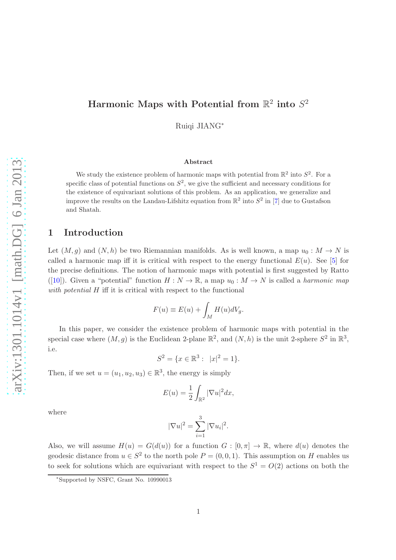# Harmonic Maps with Potential from  $\mathbb{R}^2$  into  $S^2$

Ruiqi JIANG<sup>∗</sup>

#### Abstract

We study the existence problem of harmonic maps with potential from  $\mathbb{R}^2$  into  $S^2$ . For a specific class of potential functions on  $S^2$ , we give the sufficient and necessary conditions for the existence of equivariant solutions of this problem. As an application, we generalize and improve the results on the Landau-Lifshitz equation from  $\mathbb{R}^2$  into  $S^2$  in [7] due to Gustafson and Shatah.

#### 1 Introduction

Let  $(M, g)$  and  $(N, h)$  be two Riemannian manifolds. As is well known, a map  $u_0 : M \to N$  is called a harmonic map iff it is critical with respect to the energy functional  $E(u)$ . See [5] for the precise definitions. The notion of harmonic maps with potential is first suggested by Ratto ([10]). Given a "potential" function  $H : N \to \mathbb{R}$ , a map  $u_0 : M \to N$  is called a *harmonic map* with potential  $H$  iff it is critical with respect to the functional

$$
F(u) \equiv E(u) + \int_M H(u)dV_g.
$$

In this paper, we consider the existence problem of harmonic maps with potential in the special case where  $(M, g)$  is the Euclidean 2-plane  $\mathbb{R}^2$ , and  $(N, h)$  is the unit 2-sphere  $S^2$  in  $\mathbb{R}^3$ , i.e.

$$
S^2 = \{x \in \mathbb{R}^3 : |x|^2 = 1\}.
$$

Then, if we set  $u = (u_1, u_2, u_3) \in \mathbb{R}^3$ , the energy is simply

$$
E(u) = \frac{1}{2} \int_{\mathbb{R}^2} |\nabla u|^2 dx,
$$

where

$$
|\nabla u|^2 = \sum_{i=1}^3 |\nabla u_i|^2.
$$

Also, we will assume  $H(u) = G(d(u))$  for a function  $G : [0, \pi] \to \mathbb{R}$ , where  $d(u)$  denotes the geodesic distance from  $u \in S^2$  to the north pole  $P = (0, 0, 1)$ . This assumption on H enables us to seek for solutions which are equivariant with respect to the  $S^1 = O(2)$  actions on both the

<sup>∗</sup> Supported by NSFC, Grant No. 10990013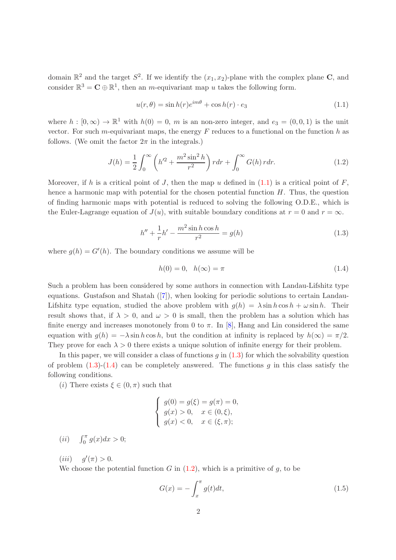domain  $\mathbb{R}^2$  and the target  $S^2$ . If we identify the  $(x_1, x_2)$ -plane with the complex plane C, and consider  $\mathbb{R}^3 = \mathbf{C} \oplus \mathbb{R}^1$ , then an *m*-equivariant map u takes the following form.

$$
u(r,\theta) = \sin h(r)e^{im\theta} + \cos h(r) \cdot e_3 \tag{1.1}
$$

where  $h: [0, \infty) \to \mathbb{R}^1$  with  $h(0) = 0$ , m is an non-zero integer, and  $e_3 = (0, 0, 1)$  is the unit vector. For such m-equivariant maps, the energy  $F$  reduces to a functional on the function  $h$  as follows. (We omit the factor  $2\pi$  in the integrals.)

$$
J(h) = \frac{1}{2} \int_0^\infty \left( h'^2 + \frac{m^2 \sin^2 h}{r^2} \right) r dr + \int_0^\infty G(h) \, r dr. \tag{1.2}
$$

Moreover, if h is a critical point of J, then the map u defined in  $(1.1)$  is a critical point of F, hence a harmonic map with potential for the chosen potential function  $H$ . Thus, the question of finding harmonic maps with potential is reduced to solving the following O.D.E., which is the Euler-Lagrange equation of  $J(u)$ , with suitable boundary conditions at  $r = 0$  and  $r = \infty$ .

$$
h'' + \frac{1}{r}h' - \frac{m^2 \sin h \cos h}{r^2} = g(h)
$$
\n(1.3)

where  $g(h) = G'(h)$ . The boundary conditions we assume will be

$$
h(0) = 0, \quad h(\infty) = \pi \tag{1.4}
$$

Such a problem has been considered by some authors in connection with Landau-Lifshitz type equations. Gustafson and Shatah ([7]), when looking for periodic solutions to certain Landau-Lifshitz type equation, studied the above problem with  $g(h) = \lambda \sin h \cos h + \omega \sin h$ . Their result shows that, if  $\lambda > 0$ , and  $\omega > 0$  is small, then the problem has a solution which has finite energy and increases monotonely from 0 to  $\pi$ . In [8], Hang and Lin considered the same equation with  $g(h) = -\lambda \sin h \cos h$ , but the condition at infinity is replaced by  $h(\infty) = \pi/2$ . They prove for each  $\lambda > 0$  there exists a unique solution of infinite energy for their problem.

In this paper, we will consider a class of functions  $q$  in  $(1.3)$  for which the solvability question of problem  $(1.3)-(1.4)$  can be completely answered. The functions g in this class satisfy the following conditions.

(*i*) There exists  $\xi \in (0, \pi)$  such that

$$
\begin{cases}\ng(0) = g(\xi) = g(\pi) = 0, \\
g(x) > 0, \quad x \in (0, \xi), \\
g(x) < 0, \quad x \in (\xi, \pi);\n\end{cases}
$$

(*ii*)  $\int_0^{\pi} g(x) dx > 0;$ 

(*iii*)  $g'(\pi) > 0$ .

We choose the potential function  $G$  in  $(1.2)$ , which is a primitive of  $g$ , to be

$$
G(x) = -\int_{x}^{\pi} g(t)dt,
$$
\n(1.5)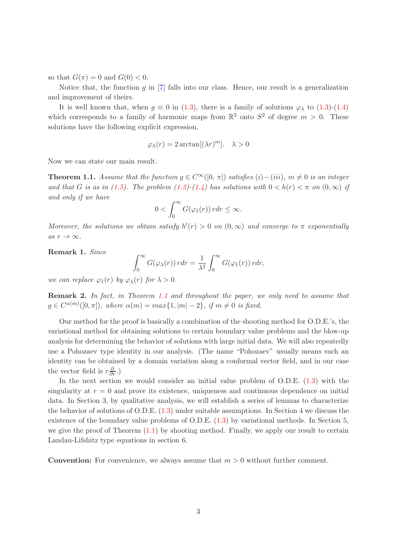so that  $G(\pi) = 0$  and  $G(0) < 0$ .

Notice that, the function  $q$  in [7] falls into our class. Hence, our result is a generalization and improvement of theirs.

It is well known that, when  $g \equiv 0$  in (1.3), there is a family of solutions  $\varphi_{\lambda}$  to (1.3)-(1.4) which corresponds to a family of harmonic maps from  $\mathbb{R}^2$  onto  $S^2$  of degree  $m > 0$ . These solutions have the following explicit expression.

$$
\varphi_{\lambda}(r) = 2 \arctan[(\lambda r)^{m}]. \quad \lambda > 0
$$

Now we can state our main result.

**Theorem 1.1.** Assume that the function  $g \in C^{\infty}([0, \pi])$  satisfies  $(i) - (iii)$ ,  $m \neq 0$  is an integer and that G is as in (1.5). The problem (1.3)-(1.4) has solutions with  $0 < h(r) < \pi$  on  $(0, \infty)$  if and only if we have

$$
0 < \int_0^\infty G(\varphi_1(r)) \, r dr \leq \infty.
$$

Moreover, the solutions we obtain satisfy  $h'(r) > 0$  on  $(0, \infty)$  and converge to  $\pi$  exponentially as  $r \to \infty$ .

Remark 1. Since

$$
\int_0^\infty G(\varphi_\lambda(r))\,r dr = \frac{1}{\lambda^2} \int_0^\infty G(\varphi_1(r))\,r dr,
$$

we can replace  $\varphi_1(r)$  by  $\varphi_\lambda(r)$  for  $\lambda > 0$ .

Remark 2. In fact, in Theorem 1.1 and throughout the paper, we only need to assume that  $g \in C^{\alpha(m)}([0,\pi])$ , where  $\alpha(m) = max\{1, |m| - 2\}$ , if  $m \neq 0$  is fixed.

Our method for the proof is basically a combination of the shooting method for O.D.E.'s, the variational method for obtaining solutions to certain boundary value problems and the blow-up analysis for determining the behavior of solutions with large initial data. We will also repeatedly use a Pohozaev type identity in our analysis. (The name "Pohozaev" usually means such an identity can be obtained by a domain variation along a conformal vector field, and in our case the vector field is  $r\frac{\partial}{\partial r}$ .)

In the next section we would consider an initial value problem of  $O.D.E. (1.3)$  with the singularity at  $r = 0$  and prove its existence, uniqueness and continuous dependence on initial data. In Section 3, by qualitative analysis, we will establish a series of lemmas to characterize the behavior of solutions of O.D.E. (1.3) under suitable assumptions. In Section 4 we discuss the existence of the boundary value problems of O.D.E. (1.3) by variational methods. In Section 5, we give the proof of Theorem  $(1.1)$  by shooting method. Finally, we apply our result to certain Landau-Lifshitz type equations in section 6.

**Convention:** For convenience, we always assume that  $m > 0$  without further comment.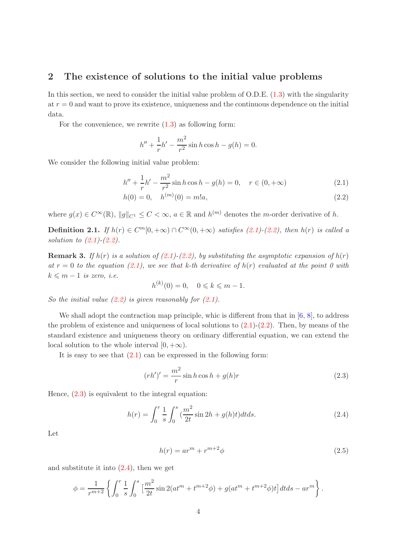## 2 The existence of solutions to the initial value problems

In this section, we need to consider the initial value problem of  $O.D.E.$  (1.3) with the singularity at  $r = 0$  and want to prove its existence, uniqueness and the continuous dependence on the initial data.

For the convenience, we rewrite  $(1.3)$  as following form:

$$
h'' + \frac{1}{r}h' - \frac{m^2}{r^2}\sin h \cos h - g(h) = 0.
$$

We consider the following initial value problem:

$$
h'' + \frac{1}{r}h' - \frac{m^2}{r^2}\sin h \cos h - g(h) = 0, \quad r \in (0, +\infty)
$$
\n(2.1)

$$
h(0) = 0, \quad h^{(m)}(0) = m!a,\tag{2.2}
$$

where  $g(x) \in C^{\infty}(\mathbb{R})$ ,  $||g||_{C^1} \leq C < \infty$ ,  $a \in \mathbb{R}$  and  $h^{(m)}$  denotes the *m*-order derivative of h.

**Definition 2.1.** If  $h(r) \in C^m[0, +\infty) \cap C^{\infty}(0, +\infty)$  satisfies (2.1)-(2.2), then  $h(r)$  is called a solution to  $(2.1)$ - $(2.2)$ .

**Remark 3.** If  $h(r)$  is a solution of (2.1)-(2.2), by substituting the asymptotic expansion of  $h(r)$ at  $r = 0$  to the equation (2.1), we see that k-th derivative of  $h(r)$  evaluated at the point 0 with  $k \leq m - 1$  is zero, i.e.

 $h^{(k)}(0) = 0, \quad 0 \leq k \leq m - 1.$ 

So the initial value  $(2.2)$  is given reasonably for  $(2.1)$ .

We shall adopt the contraction map principle, whic is different from that in  $[6, 8]$ , to address the problem of existence and uniqueness of local solutions to  $(2.1)-(2.2)$ . Then, by means of the standard existence and uniqueness theory on ordinary differential equation, we can extend the local solution to the whole interval  $[0, +\infty)$ .

It is easy to see that  $(2.1)$  can be expressed in the following form:

$$
(rh')' = \frac{m^2}{r} \sin h \cos h + g(h)r \tag{2.3}
$$

Hence, (2.3) is equivalent to the integral equation:

$$
h(r) = \int_0^r \frac{1}{s} \int_0^s \left(\frac{m^2}{2t} \sin 2h + g(h)t\right) dt ds.
$$
 (2.4)

Let

$$
h(r) = ar^m + r^{m+2}\phi \tag{2.5}
$$

and substitute it into  $(2.4)$ , then we get

$$
\phi = \frac{1}{r^{m+2}} \left\{ \int_0^r \frac{1}{s} \int_0^s \left[ \frac{m^2}{2t} \sin 2(at^m + t^{m+2} \phi) + g(at^m + t^{m+2} \phi) t \right] dt ds - ar^m \right\}.
$$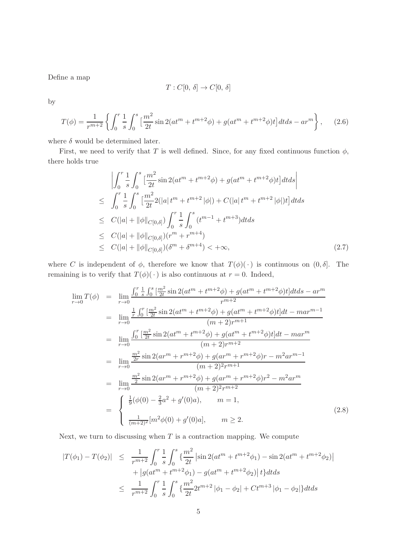Define a map

$$
T:C[0,\,\delta]\rightarrow C[0,\,\delta]
$$

by

$$
T(\phi) = \frac{1}{r^{m+2}} \left\{ \int_0^r \frac{1}{s} \int_0^s \left[ \frac{m^2}{2t} \sin 2(at^m + t^{m+2}\phi) + g(at^m + t^{m+2}\phi)t \right] dt ds - ar^m \right\}, \quad (2.6)
$$

where  $\delta$  would be determined later.

First, we need to verify that T is well defined. Since, for any fixed continuous function  $\phi$ , there holds true

$$
\left| \int_{0}^{r} \frac{1}{s} \int_{0}^{s} \left[ \frac{m^{2}}{2t} \sin 2(at^{m} + t^{m+2}\phi) + g(at^{m} + t^{m+2}\phi)t \right] dt ds \right|
$$
  
\n
$$
\leq \int_{0}^{r} \frac{1}{s} \int_{0}^{s} \left[ \frac{m^{2}}{2t} 2(|a|t^{m} + t^{m+2}|\phi|) + C(|a|t^{m} + t^{m+2}|\phi|)t \right] dt ds
$$
  
\n
$$
\leq C(|a| + ||\phi||_{C[0,\delta]}) \int_{0}^{r} \frac{1}{s} \int_{0}^{s} (t^{m-1} + t^{m+3}) dt ds
$$
  
\n
$$
\leq C(|a| + ||\phi||_{C[0,\delta]}) (r^{m} + r^{m+4})
$$
  
\n
$$
\leq C(|a| + ||\phi||_{C[0,\delta]}) (\delta^{m} + \delta^{m+4}) < +\infty,
$$
\n(2.7)

where C is independent of  $\phi$ , therefore we know that  $T(\phi)(\cdot)$  is continuous on  $(0, \delta]$ . The remaining is to verify that  $T(\phi)(\cdot)$  is also continuous at  $r = 0$ . Indeed,

$$
\lim_{r \to 0} T(\phi) = \lim_{r \to 0} \frac{\int_0^r \frac{1}{s} \int_0^s \left[ \frac{m^2}{2t} \sin 2(at^m + t^{m+2}\phi) + g(at^m + t^{m+2}\phi)t \right] dt ds - ar^m}{r^{m+2}}
$$
\n
$$
= \lim_{r \to 0} \frac{\frac{1}{r} \int_0^r \left[ \frac{m^2}{2t} \sin 2(at^m + t^{m+2}\phi) + g(at^m + t^{m+2}\phi)t \right] dt - mar^{m-1}}{(m+2)r^{m+1}}
$$
\n
$$
= \lim_{r \to 0} \frac{\int_0^r \left[ \frac{m^2}{2t} \sin 2(at^m + t^{m+2}\phi) + g(at^m + t^{m+2}\phi)t \right] dt - mar^m}{(m+2)r^{m+2}}
$$
\n
$$
= \lim_{r \to 0} \frac{\frac{m^2}{2r} \sin 2(ar^m + r^{m+2}\phi) + g(ar^m + r^{m+2}\phi)r - m^2ar^{m-1}}{(m+2)^2r^{m+1}}
$$
\n
$$
= \lim_{r \to 0} \frac{\frac{m^2}{2} \sin 2(ar^m + r^{m+2}\phi) + g(ar^m + r^{m+2}\phi)r^2 - m^2ar^m}{(m+2)^2r^{m+2}}
$$
\n
$$
= \begin{cases} \frac{1}{9} (\phi(0) - \frac{2}{3}a^2 + g'(0)a), & m = 1, \\ \frac{1}{(m+2)^2} [m^2 \phi(0) + g'(0)a], & m \ge 2. \end{cases} \tag{2.8}
$$

Next, we turn to discussing when  $T$  is a contraction mapping. We compute

$$
|T(\phi_1) - T(\phi_2)| \leq \frac{1}{r^{m+2}} \int_0^r \frac{1}{s} \int_0^s \left\{ \frac{m^2}{2t} \left| \sin 2(at^m + t^{m+2}\phi_1) - \sin 2(at^m + t^{m+2}\phi_2) \right| \right. \\ \left. + \left| g(at^m + t^{m+2}\phi_1) - g(at^m + t^{m+2}\phi_2) \right| t \right\} dt ds \\ \leq \frac{1}{r^{m+2}} \int_0^r \frac{1}{s} \int_0^s \left\{ \frac{m^2}{2t} 2t^{m+2} |\phi_1 - \phi_2| + Ct^{m+3} |\phi_1 - \phi_2| \right\} dt ds
$$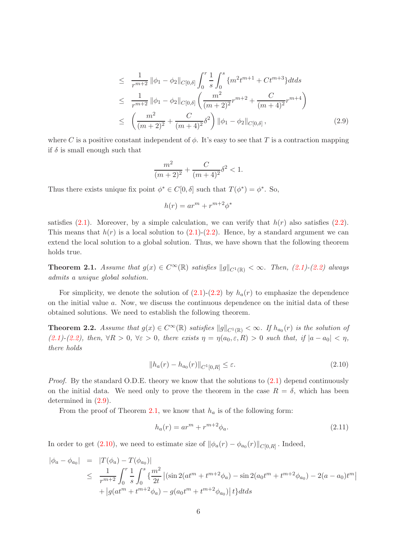$$
\leq \frac{1}{r^{m+2}} \|\phi_1 - \phi_2\|_{C[0,\delta]} \int_0^r \frac{1}{s} \int_0^s \{m^2 t^{m+1} + Ct^{m+3}\} dt ds
$$
  
\n
$$
\leq \frac{1}{r^{m+2}} \|\phi_1 - \phi_2\|_{C[0,\delta]} \left(\frac{m^2}{(m+2)^2} r^{m+2} + \frac{C}{(m+4)^2} r^{m+4}\right)
$$
  
\n
$$
\leq \left(\frac{m^2}{(m+2)^2} + \frac{C}{(m+4)^2} \delta^2\right) \|\phi_1 - \phi_2\|_{C[0,\delta]},
$$
\n(2.9)

where C is a positive constant independent of  $\phi$ . It's easy to see that T is a contraction mapping if  $\delta$  is small enough such that

$$
\frac{m^2}{(m+2)^2} + \frac{C}{(m+4)^2} \delta^2 < 1.
$$

Thus there exists unique fix point  $\phi^* \in C[0,\delta]$  such that  $T(\phi^*) = \phi^*$ . So,

$$
h(r) = ar^m + r^{m+2} \phi^*
$$

satisfies (2.1). Moreover, by a simple calculation, we can verify that  $h(r)$  also satisfies (2.2). This means that  $h(r)$  is a local solution to  $(2.1)-(2.2)$ . Hence, by a standard argument we can extend the local solution to a global solution. Thus, we have shown that the following theorem holds true.

**Theorem 2.1.** Assume that  $g(x) \in C^{\infty}(\mathbb{R})$  satisfies  $||g||_{C^{1}(\mathbb{R})} < \infty$ . Then, (2.1)-(2.2) always admits a unique global solution.

For simplicity, we denote the solution of  $(2.1)-(2.2)$  by  $h_a(r)$  to emphasize the dependence on the initial value  $a$ . Now, we discuss the continuous dependence on the initial data of these obtained solutions. We need to establish the following theorem.

**Theorem 2.2.** Assume that  $g(x) \in C^{\infty}(\mathbb{R})$  satisfies  $||g||_{C^{1}(\mathbb{R})} < \infty$ . If  $h_{a_0}(r)$  is the solution of (2.1)-(2.2), then,  $\forall R > 0$ ,  $\forall \varepsilon > 0$ , there exists  $\eta = \eta(a_0, \varepsilon, R) > 0$  such that, if  $|a - a_0| < \eta$ , there holds

$$
||h_a(r) - h_{a_0}(r)||_{C^1[0,R]} \le \varepsilon.
$$
\n(2.10)

*Proof.* By the standard O.D.E. theory we know that the solutions to  $(2.1)$  depend continuously on the initial data. We need only to prove the theorem in the case  $R = \delta$ , which has been determined in (2.9).

From the proof of Theorem 2.1, we know that  $h_a$  is of the following form:

$$
h_a(r) = ar^m + r^{m+2} \phi_a.
$$
\n(2.11)

In order to get  $(2.10)$ , we need to estimate size of  $\|\phi_a(r) - \phi_{a_0}(r)\|_{C[0,R]}$ . Indeed,

$$
\begin{array}{rcl}\n|\phi_a - \phi_{a_0}| & = & |T(\phi_a) - T(\phi_{a_0})| \\
& \leq & \frac{1}{r^{m+2}} \int_0^r \frac{1}{s} \int_0^s \left\{ \frac{m^2}{2t} \left| (\sin 2(at^m + t^{m+2}\phi_a) - \sin 2(a_0 t^m + t^{m+2}\phi_{a_0}) - 2(a - a_0)t^m \right| \right. \\
& & \left. + \left| g(at^m + t^{m+2}\phi_a) - g(a_0 t^m + t^{m+2}\phi_{a_0}) \right| t \right\} dt ds\n\end{array}
$$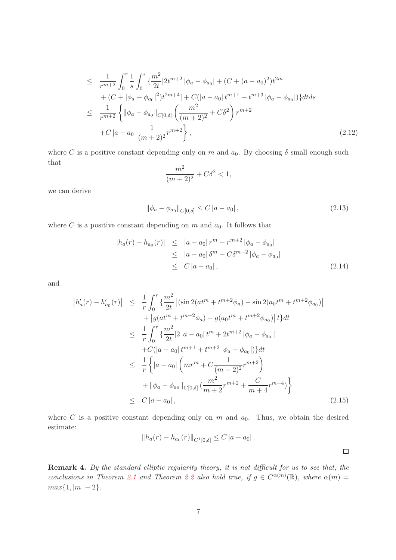$$
\leq \frac{1}{r^{m+2}} \int_0^r \frac{1}{s} \int_0^s \left\{ \frac{m^2}{2t} [2t^{m+2} | \phi_a - \phi_{a_0}| + (C + (a - a_0)^2) t^{2m} + (C + |\phi_a - \phi_{a_0}|^2) t^{2m+4} \right\} + C(|a - a_0| t^{m+1} + t^{m+3} | \phi_a - \phi_{a_0}| ) \right\} dt ds
$$
  
\n
$$
\leq \frac{1}{r^{m+2}} \left\{ || \phi_a - \phi_{a_0} ||_{C[0,\delta]} \left( \frac{m^2}{(m+2)^2} + C\delta^2 \right) r^{m+2} + C |a - a_0| \frac{1}{(m+2)^2} r^{m+2} \right\}, \tag{2.12}
$$

where C is a positive constant depending only on m and  $a_0$ . By choosing  $\delta$  small enough such that

$$
\frac{m^2}{(m+2)^2} + C\delta^2 < 1,
$$

we can derive

$$
\|\phi_a - \phi_{a_0}\|_{C[0,\delta]} \le C |a - a_0| \,,\tag{2.13}
$$

where  $C$  is a positive constant depending on  $m$  and  $a_0$ . It follows that

$$
|h_a(r) - h_{a_0}(r)| \le |a - a_0| r^m + r^{m+2} |\phi_a - \phi_{a_0}|
$$
  
\n
$$
\le |a - a_0| \delta^m + C \delta^{m+2} |\phi_a - \phi_{a_0}|
$$
  
\n
$$
\le C |a - a_0|,
$$
\n(2.14)

and

$$
\begin{split}\n|h'_{a}(r) - h'_{a_{0}}(r)| &\leq \frac{1}{r} \int_{0}^{r} \left\{ \frac{m^{2}}{2t} \left| (\sin 2(at^{m} + t^{m+2}\phi_{a}) - \sin 2(a_{0}t^{m} + t^{m+2}\phi_{a_{0}}) \right| \right. \\
&\quad \left. + \left| g(at^{m} + t^{m+2}\phi_{a}) - g(a_{0}t^{m} + t^{m+2}\phi_{a_{0}}) \right| t \right\} dt \\
&\leq \frac{1}{r} \int_{0}^{r} \left\{ \frac{m^{2}}{2t} [2 \left| a - a_{0} \right| t^{m} + 2t^{m+2} \left| \phi_{a} - \phi_{a_{0}} \right| \right\} dt \\
&\quad \left. + C(|a - a_{0}| t^{m+1} + t^{m+3} \left| \phi_{a} - \phi_{a_{0}} \right|) \right\} dt \\
&\leq \frac{1}{r} \left\{ \left| a - a_{0} \right| \left( mr^{m} + C \frac{1}{(m+2)^{2}} r^{m+2} \right) \right. \\
&\quad \left. + \left\| \phi_{a} - \phi_{a_{0}} \right\|_{C[0,\delta]} \left( \frac{m^{2}}{m+2} r^{m+2} + \frac{C}{m+4} r^{m+4} \right) \right\} \\
&\leq C \left| a - a_{0} \right|, \tag{2.15}\n\end{split}
$$

where  $C$  is a positive constant depending only on  $m$  and  $a_0$ . Thus, we obtain the desired estimate:

$$
||h_a(r) - h_{a_0}(r)||_{C^1[0,\delta]} \leq C |a - a_0|.
$$

 $\Box$ 

Remark 4. By the standard elliptic regularity theory, it is not difficult for us to see that, the conclusions in Theorem 2.1 and Theorem 2.2 also hold true, if  $g \in C^{\alpha(m)}(\mathbb{R})$ , where  $\alpha(m) =$  $max{1, |m| - 2}.$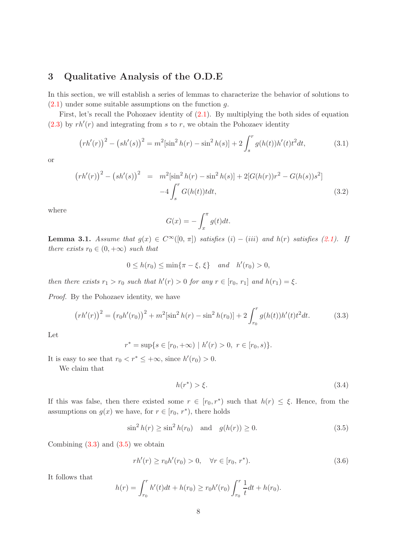### 3 Qualitative Analysis of the O.D.E

In this section, we will establish a series of lemmas to characterize the behavior of solutions to  $(2.1)$  under some suitable assumptions on the function g.

First, let's recall the Pohozaev identity of (2.1). By multiplying the both sides of equation  $(2.3)$  by  $rh'(r)$  and integrating from s to r, we obtain the Pohozaev identity

$$
(rh'(r))^2 - (sh'(s))^2 = m^2[\sin^2 h(r) - \sin^2 h(s)] + 2\int_s^r g(h(t))h'(t)t^2dt,
$$
\n(3.1)

or

$$
(rh'(r))^2 - (sh'(s))^2 = m^2[\sin^2 h(r) - \sin^2 h(s)] + 2[G(h(r))r^2 - G(h(s))s^2]
$$
  

$$
-4\int_s^r G(h(t))tdt,
$$
 (3.2)

where

$$
G(x) = -\int_x^{\pi} g(t)dt.
$$

**Lemma 3.1.** Assume that  $g(x) \in C^{\infty}([0, \pi])$  satisfies  $(i) - (iii)$  and  $h(r)$  satisfies (2.1). If there exists  $r_0 \in (0, +\infty)$  such that

$$
0 \le h(r_0) \le \min\{\pi - \xi, \xi\}
$$
 and  $h'(r_0) > 0$ ,

then there exists  $r_1 > r_0$  such that  $h'(r) > 0$  for any  $r \in [r_0, r_1]$  and  $h(r_1) = \xi$ .

Proof. By the Pohozaev identity, we have

$$
(rh'(r))^2 = (r_0h'(r_0))^2 + m^2[\sin^2h(r) - \sin^2h(r_0)] + 2\int_{r_0}^r g(h(t))h'(t)t^2dt.
$$
 (3.3)

Let

$$
r^* = \sup\{s \in [r_0, +\infty) \mid h'(r) > 0, \ r \in [r_0, s)\}.
$$

It is easy to see that  $r_0 < r^* \leq +\infty$ , since  $h'(r_0) > 0$ .

We claim that

$$
h(r^*) > \xi. \tag{3.4}
$$

If this was false, then there existed some  $r \in [r_0, r^*)$  such that  $h(r) \leq \xi$ . Hence, from the assumptions on  $g(x)$  we have, for  $r \in [r_0, r^*)$ , there holds

$$
\sin^2 h(r) \ge \sin^2 h(r_0) \quad \text{and} \quad g(h(r)) \ge 0. \tag{3.5}
$$

Combining  $(3.3)$  and  $(3.5)$  we obtain

$$
rh'(r) \ge r_0 h'(r_0) > 0, \quad \forall r \in [r_0, r^*).
$$
\n(3.6)

It follows that

$$
h(r) = \int_{r_0}^r h'(t)dt + h(r_0) \ge r_0 h'(r_0) \int_{r_0}^r \frac{1}{t} dt + h(r_0).
$$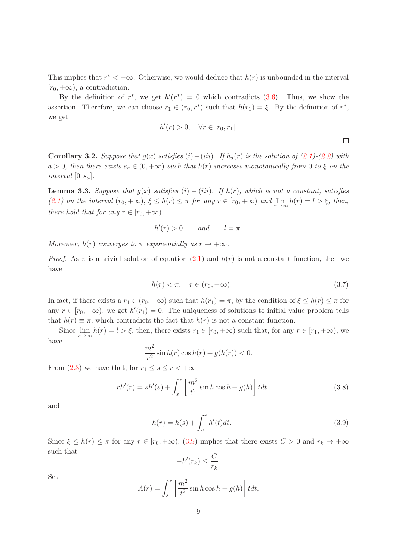This implies that  $r^* < +\infty$ . Otherwise, we would deduce that  $h(r)$  is unbounded in the interval  $[r_0, +\infty)$ , a contradiction.

By the definition of  $r^*$ , we get  $h'(r^*) = 0$  which contradicts (3.6). Thus, we show the assertion. Therefore, we can choose  $r_1 \in (r_0, r^*)$  such that  $h(r_1) = \xi$ . By the definition of  $r^*$ , we get

$$
h'(r) > 0, \quad \forall r \in [r_0, r_1].
$$

Corollary 3.2. Suppose that  $g(x)$  satisfies  $(i)-(iii)$ . If  $h_a(r)$  is the solution of (2.1)-(2.2) with  $a > 0$ , then there exists  $s_a \in (0, +\infty)$  such that  $h(r)$  increases monotonically from 0 to  $\xi$  on the interval  $[0, s_a]$ .

**Lemma 3.3.** Suppose that  $g(x)$  satisfies  $(i) - (iii)$ . If  $h(r)$ , which is not a constant, satisfies (2.1) on the interval  $(r_0, +\infty)$ ,  $\xi \leq h(r) \leq \pi$  for any  $r \in [r_0, +\infty)$  and  $\lim_{r \to \infty} h(r) = l > \xi$ , then, there hold that for any  $r \in [r_0, +\infty)$ 

$$
h'(r) > 0 \qquad and \qquad l = \pi.
$$

Moreover,  $h(r)$  converges to  $\pi$  exponentially as  $r \to +\infty$ .

*Proof.* As  $\pi$  is a trivial solution of equation (2.1) and  $h(r)$  is not a constant function, then we have

$$
h(r) < \pi, \quad r \in (r_0, +\infty). \tag{3.7}
$$

 $\Box$ 

In fact, if there exists a  $r_1 \in (r_0, +\infty)$  such that  $h(r_1) = \pi$ , by the condition of  $\xi \leq h(r) \leq \pi$  for any  $r \in [r_0, +\infty)$ , we get  $h'(r_1) = 0$ . The uniqueness of solutions to initial value problem tells that  $h(r) \equiv \pi$ , which contradicts the fact that  $h(r)$  is not a constant function.

Since  $\lim_{r\to\infty} h(r) = l > \xi$ , then, there exists  $r_1 \in [r_0, +\infty)$  such that, for any  $r \in [r_1, +\infty)$ , we have

$$
\frac{m^2}{r^2}\sin h(r)\cos h(r) + g(h(r)) < 0.
$$

From (2.3) we have that, for  $r_1 \leq s \leq r < +\infty$ ,

$$
rh'(r) = sh'(s) + \int_s^r \left[\frac{m^2}{t^2} \sin h \cos h + g(h)\right] t dt \qquad (3.8)
$$

and

$$
h(r) = h(s) + \int_{s}^{r} h'(t)dt.
$$
\n(3.9)

Since  $\xi \leq h(r) \leq \pi$  for any  $r \in [r_0, +\infty)$ , (3.9) implies that there exists  $C > 0$  and  $r_k \to +\infty$ such that

$$
-h'(r_k) \leq \frac{C}{r_k}.
$$

Set

$$
A(r) = \int_s^r \left[ \frac{m^2}{t^2} \sin h \cos h + g(h) \right] t dt,
$$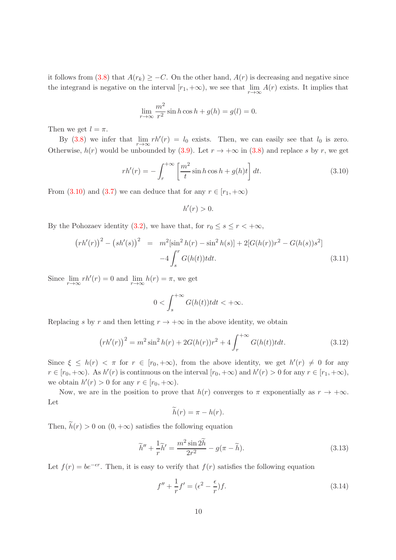it follows from (3.8) that  $A(r_k) \geq -C$ . On the other hand,  $A(r)$  is decreasing and negative since the integrand is negative on the interval  $[r_1, +\infty)$ , we see that  $\lim_{r\to\infty} A(r)$  exists. It implies that

$$
\lim_{r \to \infty} \frac{m^2}{r^2} \sin h \cos h + g(h) = g(l) = 0.
$$

Then we get  $l = \pi$ .

By (3.8) we infer that  $\lim_{r \to \infty} rh'(r) = l_0$  exists. Then, we can easily see that  $l_0$  is zero. Otherwise,  $h(r)$  would be unbounded by (3.9). Let  $r \to +\infty$  in (3.8) and replace s by r, we get

$$
rh'(r) = -\int_r^{+\infty} \left[\frac{m^2}{t}\sin h \cos h + g(h)t\right] dt.
$$
 (3.10)

From (3.10) and (3.7) we can deduce that for any  $r \in [r_1, +\infty)$ 

 $h'(r) > 0.$ 

By the Pohozaev identity (3.2), we have that, for  $r_0 \leq s \leq r < +\infty$ ,

$$
(rh'(r))^2 - (sh'(s))^2 = m^2[\sin^2 h(r) - \sin^2 h(s)] + 2[G(h(r))r^2 - G(h(s))s^2]
$$
  

$$
-4\int_s^r G(h(t))tdt.
$$
 (3.11)

Since  $\lim_{r \to \infty} rh'(r) = 0$  and  $\lim_{r \to \infty} h(r) = \pi$ , we get

$$
0 < \int_s^{+\infty} G(h(t))t \, dt < +\infty.
$$

Replacing s by r and then letting  $r \to +\infty$  in the above identity, we obtain

$$
(rh'(r))^2 = m^2 \sin^2 h(r) + 2G(h(r))r^2 + 4 \int_r^{+\infty} G(h(t))t dt.
$$
 (3.12)

Since  $\xi \leq h(r) < \pi$  for  $r \in [r_0, +\infty)$ , from the above identity, we get  $h'(r) \neq 0$  for any  $r \in [r_0, +\infty)$ . As  $h'(r)$  is continuous on the interval  $[r_0, +\infty)$  and  $h'(r) > 0$  for any  $r \in [r_1, +\infty)$ , we obtain  $h'(r) > 0$  for any  $r \in [r_0, +\infty)$ .

Now, we are in the position to prove that  $h(r)$  converges to  $\pi$  exponentially as  $r \to +\infty$ . Let

$$
\widetilde{h}(r) = \pi - h(r).
$$

Then,  $\tilde{h}(r) > 0$  on  $(0, +\infty)$  satisfies the following equation

$$
\widetilde{h}'' + \frac{1}{r}\widetilde{h}' = \frac{m^2 \sin 2\widetilde{h}}{2r^2} - g(\pi - \widetilde{h}).\tag{3.13}
$$

Let  $f(r) = be^{-\epsilon r}$ . Then, it is easy to verify that  $f(r)$  satisfies the following equation

$$
f'' + \frac{1}{r}f' = (\epsilon^2 - \frac{\epsilon}{r})f.
$$
\n(3.14)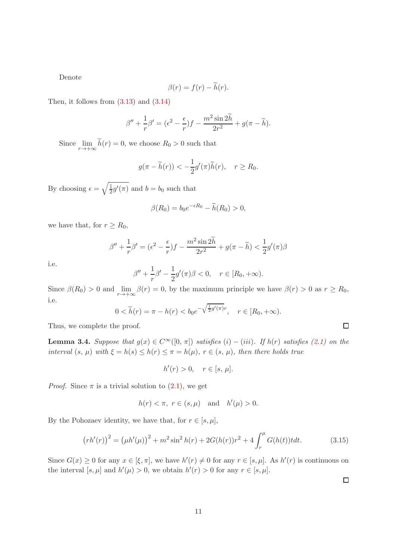Denote

$$
\beta(r) = f(r) - \widetilde{h}(r).
$$

Then, it follows from  $(3.13)$  and  $(3.14)$ 

$$
\beta'' + \frac{1}{r}\beta' = (\epsilon^2 - \frac{\epsilon}{r})f - \frac{m^2 \sin 2\widetilde{h}}{2r^2} + g(\pi - \widetilde{h}).
$$

Since  $\lim_{r \to +\infty} h(r) = 0$ , we choose  $R_0 > 0$  such that

$$
g(\pi - \widetilde{h}(r)) < -\frac{1}{2}g'(\pi)\widetilde{h}(r), \quad r \ge R_0.
$$

By choosing  $\epsilon = \sqrt{\frac{1}{2}}$  $\frac{1}{2}g'(\pi)$  and  $b=b_0$  such that

$$
\beta(R_0) = b_0 e^{-\epsilon R_0} - \widetilde{h}(R_0) > 0,
$$

we have that, for  $r \geq R_0$ ,

$$
\beta'' + \frac{1}{r}\beta' = (\epsilon^2 - \frac{\epsilon}{r})f - \frac{m^2 \sin 2\widetilde{h}}{2r^2} + g(\pi - \widetilde{h}) < \frac{1}{2}g'(\pi)\beta
$$

i.e.

$$
\beta'' + \frac{1}{r}\beta' - \frac{1}{2}g'(\pi)\beta < 0, \quad r \in [R_0, +\infty).
$$

Since  $\beta(R_0) > 0$  and  $\lim_{r \to +\infty} \beta(r) = 0$ , by the maximum principle we have  $\beta(r) > 0$  as  $r \ge R_0$ , i.e.

$$
0 < \widetilde{h}(r) = \pi - h(r) < b_0 e^{-\sqrt{\frac{1}{2}g'(\pi)}r}, \quad r \in [R_0, +\infty).
$$

Thus, we complete the proof.

**Lemma 3.4.** Suppose that  $g(x) \in C^{\infty}([0, \pi])$  satisfies  $(i) - (iii)$ . If  $h(r)$  satisfies  $(2.1)$  on the interval  $(s, \mu)$  with  $\xi = h(s) \leq h(r) \leq \pi = h(\mu)$ ,  $r \in (s, \mu)$ , then there holds true

$$
h'(r) > 0, \quad r \in [s, \mu].
$$

*Proof.* Since  $\pi$  is a trivial solution to  $(2.1)$ , we get

$$
h(r) < \pi, \ r \in (s, \mu) \quad \text{and} \quad h'(\mu) > 0.
$$

By the Pohozaev identity, we have that, for  $r \in [s, \mu]$ ,

$$
(rh'(r))^2 = (\mu h'(\mu))^2 + m^2 \sin^2 h(r) + 2G(h(r))r^2 + 4\int_r^{\mu} G(h(t))t dt.
$$
 (3.15)

Since  $G(x) \geq 0$  for any  $x \in [\xi, \pi]$ , we have  $h'(r) \neq 0$  for any  $r \in [s, \mu]$ . As  $h'(r)$  is continuous on the interval  $[s, \mu]$  and  $h'(\mu) > 0$ , we obtain  $h'(r) > 0$  for any  $r \in [s, \mu]$ .

 $\Box$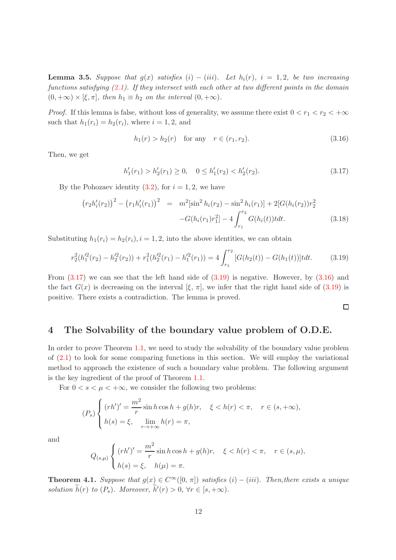**Lemma 3.5.** Suppose that  $g(x)$  satisfies  $(i) - (iii)$ . Let  $h_i(r)$ ,  $i = 1, 2$ , be two increasing functions satisfying  $(2.1)$ . If they intersect with each other at two different points in the domain  $(0, +\infty) \times [\xi, \pi]$ , then  $h_1 \equiv h_2$  on the interval  $(0, +\infty)$ .

*Proof.* If this lemma is false, without loss of generality, we assume there exist  $0 < r_1 < r_2 < +\infty$ such that  $h_1(r_i) = h_2(r_i)$ , where  $i = 1, 2$ , and

$$
h_1(r) > h_2(r) \quad \text{for any} \quad r \in (r_1, r_2). \tag{3.16}
$$

Then, we get

$$
h'_1(r_1) > h'_2(r_1) \ge 0, \quad 0 \le h'_1(r_2) < h'_2(r_2). \tag{3.17}
$$

By the Pohozaev identity  $(3.2)$ , for  $i = 1, 2$ , we have

$$
\left(r_{2}h'_{i}(r_{2})\right)^{2} - \left(r_{1}h'_{i}(r_{1})\right)^{2} = m^{2}[\sin^{2}h_{i}(r_{2}) - \sin^{2}h_{i}(r_{1})] + 2[G(h_{i}(r_{2}))r_{2}^{2} - G(h_{i}(r_{1})r_{1}^{2}] - 4\int_{r_{1}}^{r_{2}} G(h_{i}(t))t dt.
$$
\n(3.18)

Substituting  $h_1(r_i) = h_2(r_i), i = 1, 2$ , into the above identities, we can obtain

$$
r_2^2(h_1'^2(r_2) - h_2'^2(r_2)) + r_1^2(h_2'^2(r_1) - h_1'^2(r_1)) = 4 \int_{r_1}^{r_2} [G(h_2(t)) - G(h_1(t))]t dt.
$$
 (3.19)

From  $(3.17)$  we can see that the left hand side of  $(3.19)$  is negative. However, by  $(3.16)$  and the fact  $G(x)$  is decreasing on the interval  $[\xi, \pi]$ , we infer that the right hand side of (3.19) is positive. There exists a contradiction. The lemma is proved.

 $\Box$ 

### 4 The Solvability of the boundary value problem of O.D.E.

In order to prove Theorem 1.1, we need to study the solvability of the boundary value problem of  $(2.1)$  to look for some comparing functions in this section. We will employ the variational method to approach the existence of such a boundary value problem. The following argument is the key ingredient of the proof of Theorem 1.1.

For  $0 < s < \mu < +\infty$ , we consider the following two problems:

$$
(P_s)\n\begin{cases}\n(rh')' = \frac{m^2}{r}\sin h \cos h + g(h)r, & \xi < h(r) < \pi, \quad r \in (s, +\infty), \\
h(s) = \xi, & \lim_{r \to +\infty} h(r) = \pi,\n\end{cases}
$$

and

$$
Q_{(s,\mu)}\begin{cases} (rh')' = \frac{m^2}{r} \sin h \cos h + g(h)r, & \xi < h(r) < \pi, \quad r \in (s,\mu), \\ h(s) = \xi, & h(\mu) = \pi. \end{cases}
$$

**Theorem 4.1.** Suppose that  $g(x) \in C^{\infty}([0, \pi])$  satisfies  $(i) - (iii)$ . Then, there exists a unique solution  $\tilde{h}(r)$  to  $(P_s)$ . Moreover,  $\tilde{h}'(r) > 0$ ,  $\forall r \in [s, +\infty)$ .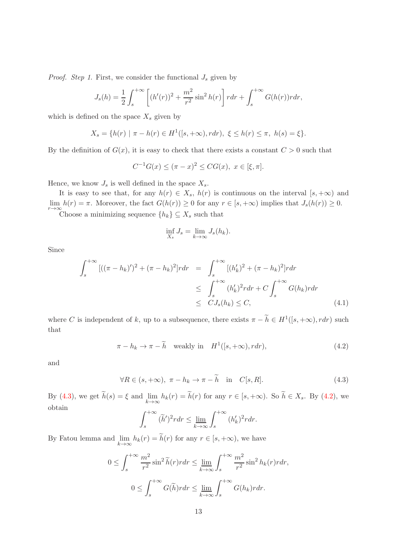*Proof.* Step 1. First, we consider the functional  $J_s$  given by

$$
J_s(h) = \frac{1}{2} \int_s^{+\infty} \left[ (h'(r))^2 + \frac{m^2}{r^2} \sin^2 h(r) \right] r dr + \int_s^{+\infty} G(h(r)) r dr,
$$

which is defined on the space  $X_s$  given by

$$
X_s = \{ h(r) \mid \pi - h(r) \in H^1([s, +\infty), r dr), \ \xi \le h(r) \le \pi, \ h(s) = \xi \}.
$$

By the definition of  $G(x)$ , it is easy to check that there exists a constant  $C > 0$  such that

$$
C^{-1}G(x) \le (\pi - x)^2 \le CG(x), \ x \in [\xi, \pi].
$$

Hence, we know  $J_s$  is well defined in the space  $X_s$ .

It is easy to see that, for any  $h(r) \in X_s$ ,  $h(r)$  is continuous on the interval  $[s, +\infty)$  and  $\lim_{r\to\infty} h(r) = \pi$ . Moreover, the fact  $G(h(r)) \ge 0$  for any  $r \in [s, +\infty)$  implies that  $J_s(h(r)) \ge 0$ .

Choose a minimizing sequence  $\{h_k\} \subseteq X_s$  such that

$$
\inf_{X_s} J_s = \lim_{k \to \infty} J_s(h_k).
$$

Since

$$
\int_{s}^{+\infty} [((\pi - h_{k})')^{2} + (\pi - h_{k})^{2}]r dr = \int_{s}^{+\infty} [(h'_{k})^{2} + (\pi - h_{k})^{2}]r dr
$$
  
\n
$$
\leq \int_{s}^{+\infty} (h'_{k})^{2} r dr + C \int_{s}^{+\infty} G(h_{k})r dr
$$
  
\n
$$
\leq C J_{s}(h_{k}) \leq C,
$$
\n(4.1)

where C is independent of k, up to a subsequence, there exists  $\pi - \tilde{h} \in H^1([s, +\infty), r dr)$  such that

$$
\pi - h_k \to \pi - \widetilde{h} \quad \text{weakly in} \quad H^1([s, +\infty), r dr), \tag{4.2}
$$

and

 $\forall R \in (s, +\infty), \ \pi - h_k \to \pi - \widetilde{h} \quad \text{in} \quad C[s, R].$ (4.3)

By (4.3), we get  $h(s) = \xi$  and  $\lim_{k \to \infty} h_k(r) = h(r)$  for any  $r \in [s, +\infty)$ . So  $h \in X_s$ . By (4.2), we obtain

$$
\int_{s}^{+\infty} (\widetilde{h}')^2 r dr \le \lim_{k \to \infty} \int_{s}^{+\infty} (h'_k)^2 r dr.
$$

By Fatou lemma and  $\lim_{k \to \infty} h_k(r) = h(r)$  for any  $r \in [s, +\infty)$ , we have

$$
0 \leq \int_s^{+\infty} \frac{m^2}{r^2} \sin^2 \tilde{h}(r) r dr \leq \lim_{k \to \infty} \int_s^{+\infty} \frac{m^2}{r^2} \sin^2 h_k(r) r dr,
$$
  

$$
0 \leq \int_s^{+\infty} G(\tilde{h}) r dr \leq \lim_{k \to \infty} \int_s^{+\infty} G(h_k) r dr.
$$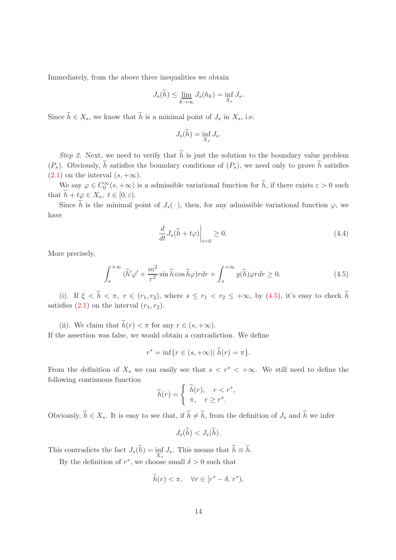Immediately, from the above three inequalities we obtain

$$
J_s(\widetilde{h}) \le \lim_{k \to \infty} J_s(h_k) = \inf_{X_s} J_s.
$$

Since  $\widetilde{h} \in X_s$ , we know that  $\widetilde{h}$  is a minimal point of  $J_s$  in  $X_s$ , i.e.

$$
J_s(\widetilde{h}) = \inf_{X_s} J_s.
$$

Step 2. Next, we need to verify that  $\tilde{h}$  is just the solution to the boundary value problem  $(P_s)$ . Obviously,  $\tilde{h}$  satisfies the boundary conditions of  $(P_s)$ , we need only to prove  $\tilde{h}$  satisfies  $(2.1)$  on the interval  $(s, +\infty)$ .

We say  $\varphi \in C_0^{\infty}(\mathcal{S}, +\infty)$  is a admissible variational function for  $h$ , if there exists  $\varepsilon > 0$  such that  $h + t\varphi \in X_s$ ,  $t \in [0, \varepsilon)$ .

Since h is the minimal point of  $J_s(\cdot)$ , then, for any admissible variational function  $\varphi$ , we have

$$
\left. \frac{d}{dt} J_s(\tilde{h} + t\varphi) \right|_{t=0} \ge 0. \tag{4.4}
$$

More precisely,

$$
\int_{s}^{+\infty} (\tilde{h}' \varphi' + \frac{m^2}{r^2} \sin \tilde{h} \cos \tilde{h} \varphi) r dr + \int_{s}^{+\infty} g(\tilde{h}) \varphi r dr \ge 0.
$$
 (4.5)

(i). If  $\xi < \tilde{h} < \pi$ ,  $r \in (r_1, r_2)$ , where  $s \leq r_1 < r_2 \leq +\infty$ , by (4.5), it's easy to check  $\tilde{h}$ satisfies  $(2.1)$  on the interval  $(r_1, r_2)$ .

(ii). We claim that  $\widetilde{h}(r) < \pi$  for any  $r \in (s, +\infty)$ . If the assertion was false, we would obtain a contradiction. We define

$$
r^* = \inf\{r \in (s, +\infty) | \tilde{h}(r) = \pi\}.
$$

From the definition of  $X_s$  we can easily see that  $s < r^* < +\infty$ . We still need to define the following continuous function

$$
\widehat{h}(r) = \begin{cases} \widetilde{h}(r), & r < r^*, \\ \pi, & r \ge r^*. \end{cases}
$$

Obviously,  $\hat{h} \in X_s$ . It is easy to see that, if  $\hat{h} \neq \tilde{h}$ , from the definition of  $J_s$  and  $\hat{h}$  we infer

$$
J_s(\widehat{h}) < J_s(\widetilde{h}).
$$

This contradicts the fact  $J_s(h) = \inf_{X_s} J_s$ . This means that  $h \equiv h$ .

By the definition of  $r^*$ , we choose small  $\delta > 0$  such that

$$
\widetilde{h}(r) < \pi, \quad \forall r \in [r^* - \delta, r^*).
$$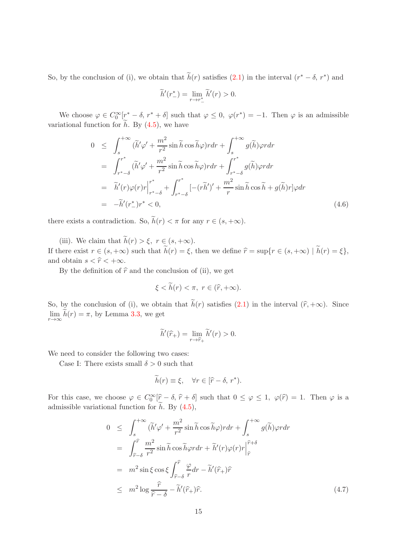So, by the conclusion of (i), we obtain that  $\tilde{h}(r)$  satisfies (2.1) in the interval  $(r^* - \delta, r^*)$  and

$$
\widetilde{h}'(r^*_-)=\lim_{r\to r^*_-}\widetilde{h}'(r)>0.
$$

We choose  $\varphi \in C_0^{\infty}[\tau^* - \delta, r^* + \delta]$  such that  $\varphi \leq 0$ ,  $\varphi(r^*) = -1$ . Then  $\varphi$  is an admissible variational function for  $h$ . By  $(4.5)$ , we have

$$
0 \leq \int_{s}^{+\infty} (\tilde{h}' \varphi' + \frac{m^2}{r^2} \sin \tilde{h} \cos \tilde{h} \varphi) r dr + \int_{s}^{+\infty} g(\tilde{h}) \varphi r dr
$$
  
\n
$$
= \int_{r^{*}-\delta}^{r^{*}} (\tilde{h}' \varphi' + \frac{m^2}{r^2} \sin \tilde{h} \cos \tilde{h} \varphi) r dr + \int_{r^{*}-\delta}^{r^{*}} g(\tilde{h}) \varphi r dr
$$
  
\n
$$
= \tilde{h}'(r) \varphi(r) r \Big|_{r^{*}-\delta}^{r^{*}} + \int_{r^{*}-\delta}^{r^{*}} [-(r\tilde{h}')' + \frac{m^2}{r} \sin \tilde{h} \cos \tilde{h} + g(\tilde{h}) r] \varphi dr
$$
  
\n
$$
= -\tilde{h}'(r^{*}_{-})r^{*} < 0,
$$
  
\n(4.6)

there exists a contradiction. So,  $\widetilde{h}(r) < \pi$  for any  $r \in (s, +\infty)$ .

(iii). We claim that  $\widetilde{h}(r) > \xi$ ,  $r \in (s, +\infty)$ . If there exist  $r \in (s, +\infty)$  such that  $\widetilde{h}(r) = \xi$ , then we define  $\widehat{r} = \sup\{r \in (s, +\infty) \mid \widetilde{h}(r) = \xi\}$ , and obtain  $s < \hat{r} < +\infty$ .

By the definition of  $\hat{r}$  and the conclusion of (ii), we get

$$
\xi < \widetilde{h}(r) < \pi, \ r \in (\widehat{r}, +\infty).
$$

So, by the conclusion of (i), we obtain that  $\widetilde{h}(r)$  satisfies (2.1) in the interval  $(\widehat{r}, +\infty)$ . Since  $\lim_{r \to \infty} h(r) = \pi$ , by Lemma 3.3, we get

$$
\widetilde{h}'(\widehat{r}_+) = \lim_{r \to \widehat{r}_+} \widetilde{h}'(r) > 0.
$$

We need to consider the following two cases:

Case I: There exists small  $\delta > 0$  such that

$$
\widetilde{h}(r) \equiv \xi, \quad \forall r \in [\widehat{r} - \delta, r^*).
$$

For this case, we choose  $\varphi \in C_0^{\infty}[\hat{r}-\delta, \hat{r}+\delta]$  such that  $0 \leq \varphi \leq 1$ ,  $\varphi(\hat{r}) = 1$ . Then  $\varphi$  is a admissible variational function for  $\hat{h}$ . By (4.5),

$$
0 \leq \int_{s}^{+\infty} (\tilde{h}' \varphi' + \frac{m^2}{r^2} \sin \tilde{h} \cos \tilde{h} \varphi) r dr + \int_{s}^{+\infty} g(\tilde{h}) \varphi r dr \n= \int_{\tilde{r}-\delta}^{\tilde{r}} \frac{m^2}{r^2} \sin \tilde{h} \cos \tilde{h} \varphi r dr + \tilde{h}'(r) \varphi(r) r \Big|_{\hat{r}}^{\hat{r}+\delta} \n= m^2 \sin \xi \cos \xi \int_{\hat{r}-\delta}^{\hat{r}} \frac{\varphi}{r} dr - \tilde{h}'(\hat{r}_{+}) \hat{r} \n\leq m^2 \log \frac{\hat{r}}{\hat{r}-\delta} - \tilde{h}'(\hat{r}_{+}) \hat{r}.
$$
\n(4.7)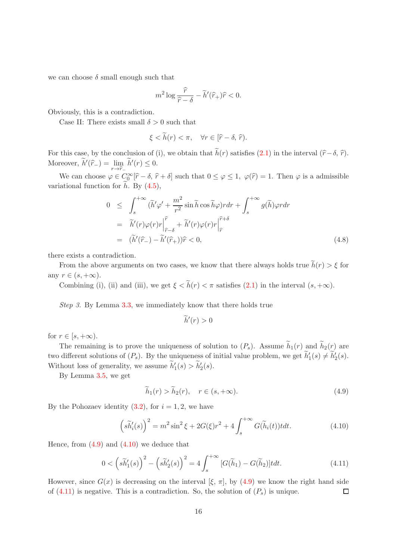we can choose  $\delta$  small enough such that

$$
m^2 \log \frac{\widehat{r}}{\widehat{r} - \delta} - \widetilde{h}'(\widehat{r}_+) \widehat{r} < 0.
$$

Obviously, this is a contradiction.

Case II: There exists small  $\delta > 0$  such that

$$
\xi < \widetilde{h}(r) < \pi, \quad \forall r \in [\widehat{r} - \delta, \widehat{r}).
$$

For this case, by the conclusion of (i), we obtain that  $\tilde{h}(r)$  satisfies (2.1) in the interval  $(\hat{r}-\delta, \hat{r})$ . Moreover,  $\widetilde{h}'(\widehat{r}_-) = \lim_{r \to \widehat{r}_-} \widetilde{h}'(r) \leq 0.$ 

We can choose  $\varphi \in C_0^{\infty}[\hat{r}-\delta, \hat{r}+\delta]$  such that  $0 \leq \varphi \leq 1$ ,  $\varphi(\hat{r}) = 1$ . Then  $\varphi$  is a admissible variational function for  $h$ . By  $(4.5)$ ,

$$
0 \leq \int_{s}^{+\infty} (\tilde{h}' \varphi' + \frac{m^2}{r^2} \sin \tilde{h} \cos \tilde{h} \varphi) r dr + \int_{s}^{+\infty} g(\tilde{h}) \varphi r dr
$$
  

$$
= \tilde{h}'(r) \varphi(r) r \Big|_{\tilde{r}-\delta}^{\tilde{r}} + \tilde{h}'(r) \varphi(r) r \Big|_{\tilde{r}}^{\tilde{r}+\delta}
$$
  

$$
= (\tilde{h}'(\hat{r}) - \tilde{h}'(\hat{r})) \tilde{r} < 0,
$$
 (4.8)

there exists a contradiction.

From the above arguments on two cases, we know that there always holds true  $\tilde{h}(r) > \xi$  for any  $r \in (s, +\infty)$ .

Combining (i), (ii) and (iii), we get  $\xi < \widetilde{h}(r) < \pi$  satisfies (2.1) in the interval  $(s, +\infty)$ .

Step 3. By Lemma 3.3, we immediately know that there holds true

$$
\widetilde{h}'(r) > 0
$$

for  $r \in [s, +\infty)$ .

The remaining is to prove the uniqueness of solution to  $(P_s)$ . Assume  $\widetilde{h}_1(r)$  and  $\widetilde{h}_2(r)$  are two different solutions of  $(P_s)$ . By the uniqueness of initial value problem, we get  $h'_1(s) \neq h'_2(s)$ . Without loss of generality, we assume  $\tilde{h}'_1(s) > \tilde{h}'_2(s)$ .

By Lemma 3.5, we get

$$
\widetilde{h}_1(r) > \widetilde{h}_2(r), \quad r \in (s, +\infty). \tag{4.9}
$$

By the Pohozaev identity  $(3.2)$ , for  $i = 1, 2$ , we have

$$
\left(s\widetilde{h}'_i(s)\right)^2 = m^2 \sin^2 \xi + 2G(\xi)r^2 + 4\int_s^{+\infty} G(\widetilde{h}_i(t))t dt.
$$
\n(4.10)

Hence, from  $(4.9)$  and  $(4.10)$  we deduce that

$$
0 < \left(s\widetilde{h}'_1(s)\right)^2 - \left(s\widetilde{h}'_2(s)\right)^2 = 4\int_s^{+\infty} \left[G(\widetilde{h}_1) - G(\widetilde{h}_2)\right] t dt. \tag{4.11}
$$

However, since  $G(x)$  is decreasing on the interval  $[\xi, \pi]$ , by (4.9) we know the right hand side of  $(4.11)$  is negative. This is a contradiction. So, the solution of  $(P_s)$  is unique.  $\Box$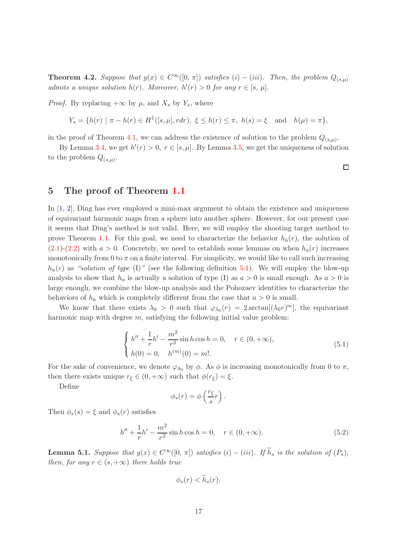**Theorem 4.2.** Suppose that  $g(x) \in C^{\infty}([0, \pi])$  satisfies  $(i) - (iii)$ . Then, the problem  $Q_{(s,\mu)}$ admits a unique solution  $h(r)$ . Moreover,  $h'(r) > 0$  for any  $r \in [s, \mu]$ .

*Proof.* By replacing  $+\infty$  by  $\mu$ , and  $X_s$  by  $Y_s$ , where

$$
Y_s = \{ h(r) \mid \pi - h(r) \in H^1([s, \mu], r dr), \ \xi \le h(r) \le \pi, \ h(s) = \xi \quad \text{and} \quad h(\mu) = \pi \},
$$

in the proof of Theorem 4.1, we can address the existence of solution to the problem  $Q_{(s,\mu)}$ .

By Lemma 3.4, we get  $h'(r) > 0$ ,  $r \in [s, \mu]$ . By Lemma 3.5, we get the uniqueness of solution to the problem  $Q_{(s,\mu)}$ .

#### 5 The proof of Theorem 1.1

In [1, 2], Ding has ever employed a mini-max argument to obtain the existence and uniqueness of equivariant harmonic maps from a sphere into another sphere. However, for our present case it seems that Ding's method is not valid. Here, we will employ the shooting target method to prove Theorem 1.1. For this goal, we need to characterize the behavior  $h_a(r)$ , the solution of  $(2.1)-(2.2)$  with  $a > 0$ . Concretely, we need to establish some lemmas on when  $h_a(r)$  increases monotonically from 0 to  $\pi$  on a finite interval. For simplicity, we would like to call such increasing  $h_a(r)$  as "solution of type (I)" (see the following definition 5.1). We will employ the blow-up analysis to show that  $h_a$  is actually a solution of type (I) as  $a > 0$  is small enough. As  $a > 0$  is large enough, we combine the blow-up analysis and the Pohozaev identities to characterize the behaviors of  $h_a$  which is completely different from the case that  $a > 0$  is small.

We know that there exists  $\lambda_0 > 0$  such that  $\varphi_{\lambda_0}(r) = 2 \arctan[(\lambda_0 r)^m]$ , the equivariant harmonic map with degree  $m$ , satisfying the following initial value problem:

$$
\begin{cases}\nh'' + \frac{1}{r}h' - \frac{m^2}{r^2}\sin h \cos h = 0, & r \in (0, +\infty), \\
h(0) = 0, & h^{(m)}(0) = m!\n\end{cases}
$$
\n(5.1)

For the sake of convenience, we denote  $\varphi_{\lambda_0}$  by  $\phi$ . As  $\phi$  is increasing monotonically from 0 to  $\pi$ , then there exists unique  $r_{\xi} \in (0, +\infty)$  such that  $\phi(r_{\xi}) = \xi$ .

Define

$$
\phi_s(r) = \phi\left(\frac{r_{\xi}}{s}r\right).
$$

Then  $\phi_s(s) = \xi$  and  $\phi_s(r)$  satisfies

$$
h'' + \frac{1}{r}h' - \frac{m^2}{r^2}\sin h \cos h = 0, \quad r \in (0, +\infty).
$$
 (5.2)

**Lemma 5.1.** Suppose that  $g(x) \in C^{\infty}([0, \pi])$  satisfies  $(i) - (iii)$ . If  $\widetilde{h}_s$  is the solution of  $(P_s)$ , then, for any  $r \in (s, +\infty)$  there holds true

 $\phi_s(r) < \widetilde{h}_s(r)$ .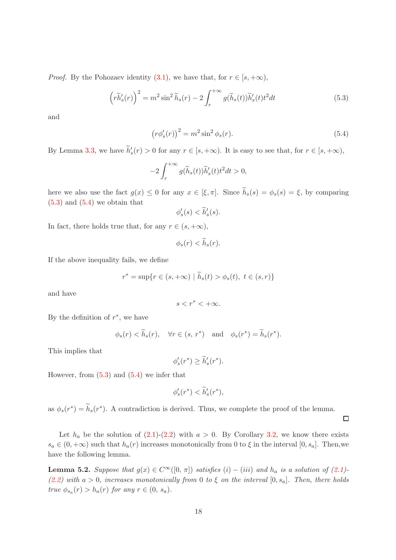*Proof.* By the Pohozaev identity (3.1), we have that, for  $r \in [s, +\infty)$ ,

$$
\left(r\widetilde{h}_s'(r)\right)^2 = m^2 \sin^2 \widetilde{h}_s(r) - 2 \int_r^{+\infty} g(\widetilde{h}_s(t)) \widetilde{h}_s'(t) t^2 dt \tag{5.3}
$$

and

$$
\left(r\phi_s'(r)\right)^2 = m^2 \sin^2\phi_s(r). \tag{5.4}
$$

By Lemma 3.3, we have  $h'_s(r) > 0$  for any  $r \in [s, +\infty)$ . It is easy to see that, for  $r \in [s, +\infty)$ ,

$$
-2\int_r^{+\infty} g(\widetilde{h}_s(t))\widetilde{h}'_s(t)t^2 dt > 0,
$$

here we also use the fact  $g(x) \leq 0$  for any  $x \in [\xi, \pi]$ . Since  $\tilde{h}_s(s) = \phi_s(s) = \xi$ , by comparing  $(5.3)$  and  $(5.4)$  we obtain that

$$
\phi'_s(s) < \widetilde{h}'_s(s).
$$

In fact, there holds true that, for any  $r \in (s, +\infty)$ ,

$$
\phi_s(r) < \widetilde{h}_s(r).
$$

If the above inequality fails, we define

$$
r^* = \sup\{r \in (s, +\infty) \mid \widetilde{h}_s(t) > \phi_s(t), \ t \in (s, r)\}\
$$

and have

$$
s < r^* < +\infty.
$$

By the definition of  $r^*$ , we have

$$
\phi_s(r) < \widetilde{h}_s(r)
$$
,  $\forall r \in (s, r^*)$  and  $\phi_s(r^*) = \widetilde{h}_s(r^*)$ .

This implies that

$$
\phi'_s(r^*) \ge \widetilde{h}'_s(r^*).
$$

However, from  $(5.3)$  and  $(5.4)$  we infer that

$$
\phi_s'(r^*) < \widetilde{h}_s'(r^*),
$$

as  $\phi_s(r^*) = \tilde{h}_s(r^*)$ . A contradiction is derived. Thus, we complete the proof of the lemma.

Let  $h_a$  be the solution of (2.1)-(2.2) with  $a > 0$ . By Corollary 3.2, we know there exists  $s_a \in (0, +\infty)$  such that  $h_a(r)$  increases monotonically from 0 to  $\xi$  in the interval  $[0, s_a]$ . Then, we have the following lemma.

**Lemma 5.2.** Suppose that  $g(x) \in C^{\infty}([0, \pi])$  satisfies  $(i) - (iii)$  and  $h_a$  is a solution of  $(2.1)$ -(2.2) with a > 0, increases monotonically from 0 to  $\xi$  on the interval  $[0, s_a]$ . Then, there holds true  $\phi_{s_a}(r) > h_a(r)$  for any  $r \in (0, s_a)$ .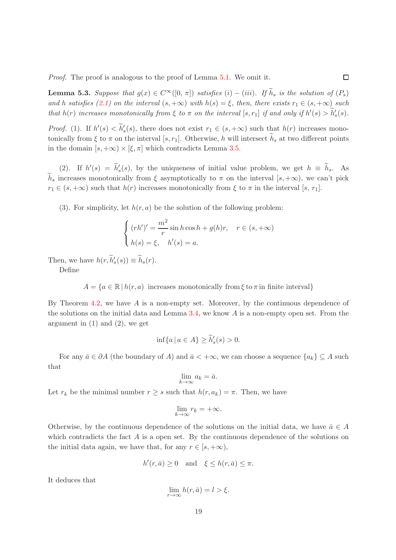Proof. The proof is analogous to the proof of Lemma 5.1. We omit it.

**Lemma 5.3.** Suppose that  $g(x) \in C^{\infty}([0, \pi])$  satisfies  $(i) - (iii)$ . If  $\widetilde{h}_s$  is the solution of  $(P_s)$ and h satisfies (2.1) on the interval  $(s, +\infty)$  with  $h(s) = \xi$ , then, there exists  $r_1 \in (s, +\infty)$  such that  $h(r)$  increases monotonically from  $\xi$  to  $\pi$  on the interval  $[s,r_1]$  if and only if  $h'(s) > h'_s(s)$ .

 $\Box$ 

*Proof.* (1). If  $h'(s) < h'_{s}(s)$ , there does not exist  $r_1 \in (s, +\infty)$  such that  $h(r)$  increases monotonically from  $\xi$  to  $\pi$  on the interval [s, r<sub>1</sub>]. Otherwise, h will intersect  $h_s$  at two different points in the domain  $[s, +\infty) \times [\xi, \pi]$  which contradicts Lemma 3.5.

(2). If  $h'(s) = \tilde{h}'_s(s)$ , by the uniqueness of initial value problem, we get  $h \equiv \tilde{h}_s$ . As  $\tilde{h}_s$  increases monotonically from  $\xi$  asymptotically to  $\pi$  on the interval  $[s, +\infty)$ , we can't pick  $r_1 \in (s, +\infty)$  such that  $h(r)$  increases monotonically from  $\xi$  to  $\pi$  in the interval  $[s, r_1]$ .

(3). For simplicity, let  $h(r, a)$  be the solution of the following problem:

$$
\begin{cases}\n(rh')' = \frac{m^2}{r}\sin h \cos h + g(h)r, & r \in (s, +\infty) \\
h(s) = \xi, & h'(s) = a.\n\end{cases}
$$

Then, we have  $h(r, h'_s(s)) \equiv h_s(r)$ .

Define

 $A = \{a \in \mathbb{R} \mid h(r, a) \text{ increases monotonically from } \xi \text{ to } \pi \text{ in finite interval}\}\$ 

By Theorem 4.2, we have  $A$  is a non-empty set. Moreover, by the continuous dependence of the solutions on the initial data and Lemma 3.4, we know  $A$  is a non-empty open set. From the argument in  $(1)$  and  $(2)$ , we get

$$
\inf\{a \mid a \in A\} \ge \widetilde{h}'_s(s) > 0.
$$

For any  $\bar{a} \in \partial A$  (the boundary of A) and  $\bar{a} < +\infty$ , we can choose a sequence  $\{a_k\} \subseteq A$  such that

$$
\lim_{k \to \infty} a_k = \bar{a}.
$$

Let  $r_k$  be the minimal number  $r \geq s$  such that  $h(r, a_k) = \pi$ . Then, we have

$$
\lim_{k \to \infty} r_k = +\infty.
$$

Otherwise, by the continuous dependence of the solutions on the initial data, we have  $\bar{a} \in A$ which contradicts the fact  $A$  is a open set. By the continuous dependence of the solutions on the initial data again, we have that, for any  $r \in [s, +\infty)$ ,

$$
h'(r,\bar{a}) \ge 0 \quad \text{and} \quad \xi \le h(r,\bar{a}) \le \pi.
$$

It deduces that

$$
\lim_{r \to \infty} h(r, \bar{a}) = l > \xi.
$$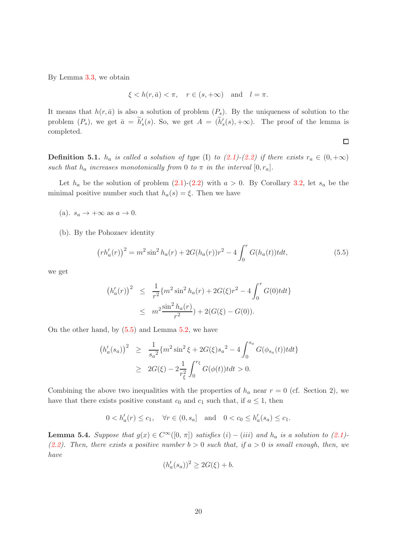By Lemma 3.3, we obtain

$$
\xi < h(r, \bar{a}) < \pi, \quad r \in (s, +\infty) \quad \text{and} \quad l = \pi.
$$

It means that  $h(r, \bar{a})$  is also a solution of problem  $(P_s)$ . By the uniqueness of solution to the problem  $(P_s)$ , we get  $\bar{a} = \tilde{h}'_s(s)$ . So, we get  $A = (\tilde{h}'_s(s), +\infty)$ . The proof of the lemma is completed.

**Definition 5.1.**  $h_a$  is called a solution of type (I) to (2.1)-(2.2) if there exists  $r_a \in (0, +\infty)$ such that  $h_a$  increases monotonically from 0 to  $\pi$  in the interval  $[0, r_a]$ .

Let  $h_a$  be the solution of problem  $(2.1)-(2.2)$  with  $a > 0$ . By Corollary 3.2, let  $s_a$  be the minimal positive number such that  $h_a(s) = \xi$ . Then we have

- (a).  $s_a \rightarrow +\infty$  as  $a \rightarrow 0$ .
- (b). By the Pohozaev identity

$$
\left(rh'_a(r)\right)^2 = m^2 \sin^2 h_a(r) + 2G(h_a(r))r^2 - 4\int_0^r G(h_a(t))t dt,
$$
\n(5.5)

we get

$$
(h'_a(r))^2 \leq \frac{1}{r^2} \{m^2 \sin^2 h_a(r) + 2G(\xi)r^2 - 4 \int_0^r G(0) t dt\}
$$
  
 
$$
\leq m^2 \frac{\sin^2 h_a(r)}{r^2} + 2(G(\xi) - G(0)).
$$

On the other hand, by (5.5) and Lemma 5.2, we have

$$
(h'_a(s_a))^2 \geq \frac{1}{s_a^2} \{ m^2 \sin^2 \xi + 2G(\xi) s_a^2 - 4 \int_0^{s_a} G(\phi_{s_a}(t)) t dt \}
$$
  
 
$$
\geq 2G(\xi) - 2 \frac{1}{r_{\xi}^2} \int_0^{r_{\xi}} G(\phi(t)) t dt > 0.
$$

Combining the above two inequalities with the properties of  $h_a$  near  $r = 0$  (cf. Section 2), we have that there exists positive constant  $c_0$  and  $c_1$  such that, if  $a \leq 1$ , then

$$
0 < h'_a(r) \le c_1
$$
,  $\forall r \in (0, s_a]$  and  $0 < c_0 \le h'_a(s_a) \le c_1$ .

**Lemma 5.4.** Suppose that  $g(x) \in C^{\infty}([0, \pi])$  satisfies  $(i) - (iii)$  and  $h_a$  is a solution to  $(2.1)$ -(2.2). Then, there exists a positive number  $b > 0$  such that, if  $a > 0$  is small enough, then, we have

$$
(h'_a(s_a))^2 \ge 2G(\xi) + b.
$$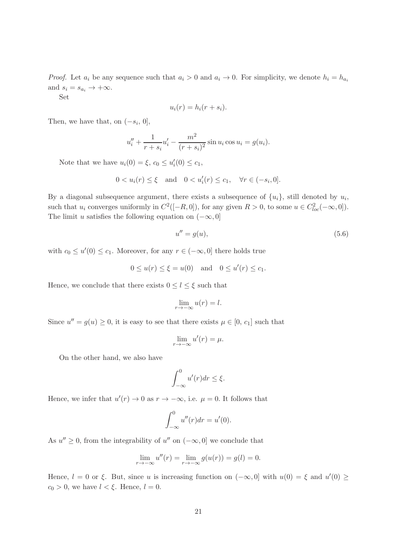*Proof.* Let  $a_i$  be any sequence such that  $a_i > 0$  and  $a_i \to 0$ . For simplicity, we denote  $h_i = h_{a_i}$ and  $s_i = s_{a_i} \rightarrow +\infty$ .

Set

$$
u_i(r) = h_i(r + s_i).
$$

Then, we have that, on  $(-s_i, 0]$ ,

$$
u''_i + \frac{1}{r + s_i} u'_i - \frac{m^2}{(r + s_i)^2} \sin u_i \cos u_i = g(u_i).
$$

Note that we have  $u_i(0) = \xi$ ,  $c_0 \le u'_i(0) \le c_1$ ,

$$
0 < u_i(r) \le \xi \quad \text{and} \quad 0 < u'_i(r) \le c_1, \quad \forall r \in (-s_i, 0].
$$

By a diagonal subsequence argument, there exists a subsequence of  $\{u_i\}$ , still denoted by  $u_i$ , such that  $u_i$  converges uniformly in  $C^2([-R, 0])$ , for any given  $R > 0$ , to some  $u \in C^2_{loc}(-\infty, 0])$ . The limit u satisfies the following equation on  $(-\infty, 0]$ 

$$
u'' = g(u),\tag{5.6}
$$

with  $c_0 \le u'(0) \le c_1$ . Moreover, for any  $r \in (-\infty, 0]$  there holds true

$$
0 \le u(r) \le \xi = u(0)
$$
 and  $0 \le u'(r) \le c_1$ .

Hence, we conclude that there exists  $0 \leq l \leq \xi$  such that

$$
\lim_{r \to -\infty} u(r) = l.
$$

Since  $u'' = g(u) \ge 0$ , it is easy to see that there exists  $\mu \in [0, c_1]$  such that

$$
\lim_{r \to -\infty} u'(r) = \mu.
$$

On the other hand, we also have

$$
\int_{-\infty}^{0} u'(r) dr \leq \xi.
$$

Hence, we infer that  $u'(r) \to 0$  as  $r \to -\infty$ , i.e.  $\mu = 0$ . It follows that

$$
\int_{-\infty}^{0} u''(r) dr = u'(0).
$$

As  $u'' \geq 0$ , from the integrability of  $u''$  on  $(-\infty, 0]$  we conclude that

$$
\lim_{r \to -\infty} u''(r) = \lim_{r \to -\infty} g(u(r)) = g(l) = 0.
$$

Hence,  $l = 0$  or  $\xi$ . But, since u is increasing function on  $(-\infty, 0]$  with  $u(0) = \xi$  and  $u'(0) \ge$  $c_0 > 0$ , we have  $l < \xi$ . Hence,  $l = 0$ .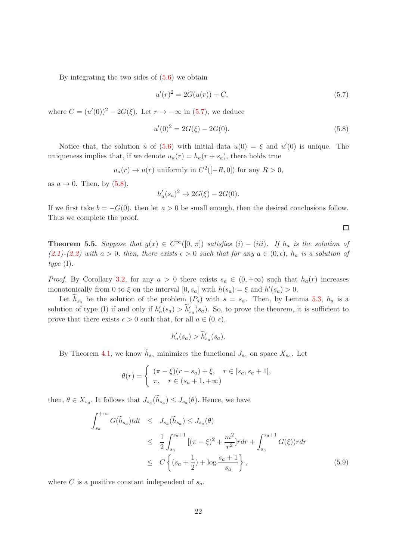By integrating the two sides of  $(5.6)$  we obtain

$$
u'(r)^2 = 2G(u(r)) + C,\t\t(5.7)
$$

where  $C = (u'(0))^2 - 2G(\xi)$ . Let  $r \to -\infty$  in (5.7), we deduce

$$
u'(0)^2 = 2G(\xi) - 2G(0). \tag{5.8}
$$

Notice that, the solution u of  $(5.6)$  with initial data  $u(0) = \xi$  and  $u'(0)$  is unique. The uniqueness implies that, if we denote  $u_a(r) = h_a(r + s_a)$ , there holds true

$$
u_a(r) \to u(r)
$$
 uniformly in  $C^2([-R,0])$  for any  $R > 0$ ,

as  $a \rightarrow 0$ . Then, by  $(5.8)$ ,

$$
h'_a(s_a)^2 \to 2G(\xi) - 2G(0).
$$

If we first take  $b = -G(0)$ , then let  $a > 0$  be small enough, then the desired conclusions follow. Thus we complete the proof.

**Theorem 5.5.** Suppose that  $g(x) \in C^{\infty}([0, \pi])$  satisfies  $(i) - (iii)$ . If  $h_a$  is the solution of  $(2.1)-(2.2)$  with  $a > 0$ , then, there exists  $\epsilon > 0$  such that for any  $a \in (0, \epsilon)$ ,  $h_a$  is a solution of type  $(I)$ .

*Proof.* By Corollary 3.2, for any  $a > 0$  there exists  $s_a \in (0, +\infty)$  such that  $h_a(r)$  increases monotonically from 0 to  $\xi$  on the interval  $[0, s_a]$  with  $h(s_a) = \xi$  and  $h'(s_a) > 0$ .

Let  $h_{s_a}$  be the solution of the problem  $(P_s)$  with  $s = s_a$ . Then, by Lemma 5.3,  $h_a$  is a solution of type (I) if and only if  $h'_a(s_a) > \tilde{h}'_{s_a}(s_a)$ . So, to prove the theorem, it is sufficient to prove that there exists  $\epsilon > 0$  such that, for all  $a \in (0, \epsilon)$ ,

$$
h'_a(s_a) > \widetilde{h}'_{s_a}(s_a).
$$

By Theorem 4.1, we know  $h_{s_a}$  minimizes the functional  $J_{s_a}$  on space  $X_{s_a}$ . Let

$$
\theta(r) = \begin{cases} (\pi - \xi)(r - s_a) + \xi, & r \in [s_a, s_a + 1], \\ \pi, & r \in (s_a + 1, +\infty) \end{cases}
$$

then,  $\theta \in X_{s_a}$ . It follows that  $J_{s_a}(h_{s_a}) \leq J_{s_a}(\theta)$ . Hence, we have

$$
\int_{s_a}^{+\infty} G(\widetilde{h}_{s_a}) t dt \leq J_{s_a}(\widetilde{h}_{s_a}) \leq J_{s_a}(\theta)
$$
\n
$$
\leq \frac{1}{2} \int_{s_a}^{s_a+1} [(\pi - \xi)^2 + \frac{m^2}{r^2}] r dr + \int_{s_a}^{s_a+1} G(\xi) r dr
$$
\n
$$
\leq C \left\{ (s_a + \frac{1}{2}) + \log \frac{s_a + 1}{s_a} \right\},
$$
\n(5.9)

where C is a positive constant independent of  $s_a$ .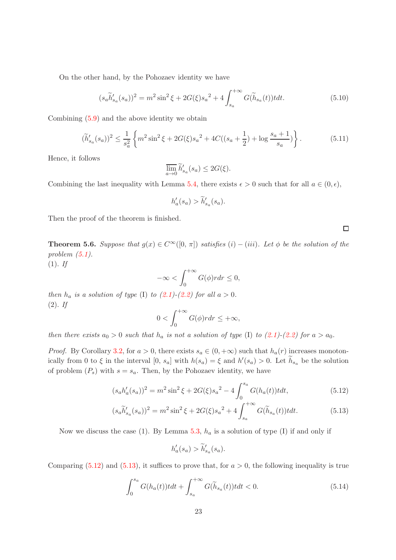On the other hand, by the Pohozaev identity we have

$$
(s_a \tilde{h}'_{s_a}(s_a))^2 = m^2 \sin^2 \xi + 2G(\xi) s_a^2 + 4 \int_{s_a}^{+\infty} G(\tilde{h}_{s_a}(t)) t dt.
$$
 (5.10)

Combining (5.9) and the above identity we obtain

$$
(\widetilde{h}'_{s_a}(s_a))^2 \le \frac{1}{s_a^2} \left\{ m^2 \sin^2 \xi + 2G(\xi) s_a^2 + 4C((s_a + \frac{1}{2}) + \log \frac{s_a + 1}{s_a}) \right\}.
$$
 (5.11)

Hence, it follows

$$
\overline{\lim}_{a \to 0} \widetilde{h}'_{s_a}(s_a) \le 2G(\xi).
$$

Combining the last inequality with Lemma 5.4, there exists  $\epsilon > 0$  such that for all  $a \in (0, \epsilon)$ ,

$$
h'_a(s_a) > \widetilde{h}'_{s_a}(s_a).
$$

Then the proof of the theorem is finished.

**Theorem 5.6.** Suppose that  $g(x) \in C^{\infty}([0, \pi])$  satisfies  $(i) - (iii)$ . Let  $\phi$  be the solution of the problem  $(5.1)$ .

 $(1).$  If

$$
-\infty < \int_0^{+\infty} G(\phi) r dr \le 0,
$$

then  $h_a$  is a solution of type (I) to  $(2.1)-(2.2)$  for all  $a > 0$ .  $(2).$  If

$$
0 < \int_0^{+\infty} G(\phi) r dr \le +\infty,
$$

then there exists  $a_0 > 0$  such that  $h_a$  is not a solution of type (I) to (2.1)-(2.2) for  $a > a_0$ .

*Proof.* By Corollary 3.2, for  $a > 0$ , there exists  $s_a \in (0, +\infty)$  such that  $h_a(r)$  increases monotonically from 0 to  $\xi$  in the interval  $[0, s_a]$  with  $h(s_a) = \xi$  and  $h'(s_a) > 0$ . Let  $\tilde{h}_{s_a}$  be the solution of problem  $(P_s)$  with  $s = s_a$ . Then, by the Pohozaev identity, we have

$$
(s_a h'_a(s_a))^2 = m^2 \sin^2 \xi + 2G(\xi) s_a^2 - 4 \int_0^{s_a} G(h_a(t)) t dt,
$$
\n(5.12)

$$
(s_a \tilde{h}'_{s_a}(s_a))^2 = m^2 \sin^2 \xi + 2G(\xi) s_a^2 + 4 \int_{s_a}^{+\infty} G(\tilde{h}_{s_a}(t)) t dt.
$$
 (5.13)

Now we discuss the case (1). By Lemma 5.3,  $h_a$  is a solution of type (I) if and only if

$$
h'_a(s_a) > \widetilde{h}'_{s_a}(s_a).
$$

Comparing  $(5.12)$  and  $(5.13)$ , it suffices to prove that, for  $a > 0$ , the following inequality is true

$$
\int_0^{s_a} G(h_a(t))t dt + \int_{s_a}^{+\infty} G(\widetilde{h}_{s_a}(t))t dt < 0.
$$
 (5.14)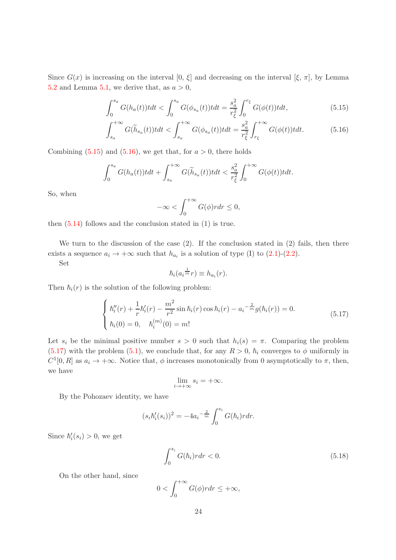Since  $G(x)$  is increasing on the interval  $[0, \xi]$  and decreasing on the interval  $[\xi, \pi]$ , by Lemma 5.2 and Lemma 5.1, we derive that, as  $a > 0$ ,

$$
\int_0^{s_a} G(h_a(t))t dt < \int_0^{s_a} G(\phi_{s_a}(t))t dt = \frac{s_a^2}{r_{\xi}^2} \int_0^{r_{\xi}} G(\phi(t))t dt,
$$
\n(5.15)

$$
\int_{s_a}^{+\infty} G(\widetilde{h}_{s_a}(t))t dt < \int_{s_a}^{+\infty} G(\phi_{s_a}(t))t dt = \frac{s_a^2}{r_{\xi}^2} \int_{r_{\xi}}^{+\infty} G(\phi(t))t dt.
$$
 (5.16)

Combining  $(5.15)$  and  $(5.16)$ , we get that, for  $a > 0$ , there holds

$$
\int_0^{s_a} G(h_a(t))t dt + \int_{s_a}^{+\infty} G(\widetilde{h}_{s_a}(t))t dt < \frac{s_a^2}{r_{\xi}^2} \int_0^{+\infty} G(\phi(t))t dt.
$$

So, when

$$
-\infty < \int_0^{+\infty} G(\phi) r dr \le 0,
$$

then  $(5.14)$  follows and the conclusion stated in  $(1)$  is true.

We turn to the discussion of the case  $(2)$ . If the conclusion stated in  $(2)$  fails, then there exists a sequence  $a_i \to +\infty$  such that  $h_{a_i}$  is a solution of type (I) to (2.1)-(2.2).

Set

$$
\hbar_i(a_i^{\frac{1}{m}}r) \equiv h_{a_i}(r).
$$

Then  $\hbar_i(r)$  is the solution of the following problem:

$$
\begin{cases}\n\hbar_i''(r) + \frac{1}{r}\hbar_i'(r) - \frac{m^2}{r^2}\sin\hbar_i(r)\cos\hbar_i(r) - a_i^{-\frac{2}{m}}g(\hbar_i(r)) = 0. \\
\hbar_i(0) = 0, \quad \hbar_i^{(m)}(0) = m!\n\end{cases}
$$
\n(5.17)

Let  $s_i$  be the minimal positive number  $s > 0$  such that  $h_i(s) = \pi$ . Comparing the problem (5.17) with the problem (5.1), we conclude that, for any  $R > 0$ ,  $\hbar_i$  converges to  $\phi$  uniformly in  $C^1[0,R]$  as  $a_i \to +\infty$ . Notice that,  $\phi$  increases monotonically from 0 asymptotically to  $\pi$ , then, we have

$$
\lim_{i \to +\infty} s_i = +\infty.
$$

By the Pohozaev identity, we have

$$
(s_i \hbar_i'(s_i))^2 = -4a_i^{-\frac{2}{m}} \int_0^{s_i} G(\hbar_i) r dr.
$$

Since  $\hbar'_i(s_i) > 0$ , we get

$$
\int_0^{s_i} G(\hbar_i) r dr < 0. \tag{5.18}
$$

On the other hand, since

$$
0 < \int_0^{+\infty} G(\phi) r dr \le +\infty,
$$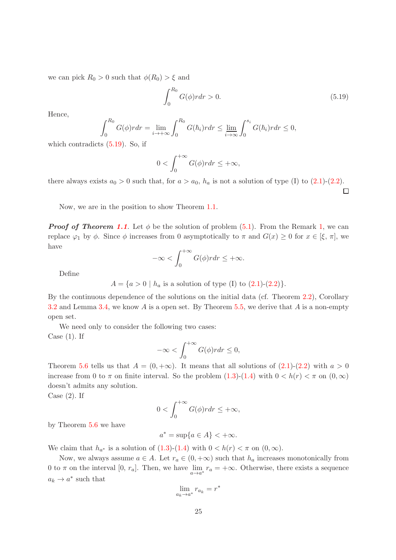we can pick  $R_0 > 0$  such that  $\phi(R_0) > \xi$  and

$$
\int_{0}^{R_{0}} G(\phi) r dr > 0.
$$
\n(5.19)

 $\Box$ 

Hence,

$$
\int_0^{R_0} G(\phi) r dr = \lim_{i \to +\infty} \int_0^{R_0} G(\hbar_i) r dr \le \lim_{i \to \infty} \int_0^{s_i} G(\hbar_i) r dr \le 0,
$$

which contradicts  $(5.19)$ . So, if

$$
0 < \int_0^{+\infty} G(\phi) r dr \le +\infty,
$$

there always exists  $a_0 > 0$  such that, for  $a > a_0$ ,  $h_a$  is not a solution of type (I) to (2.1)-(2.2).

Now, we are in the position to show Theorem 1.1.

**Proof of Theorem 1.1.** Let  $\phi$  be the solution of problem (5.1). From the Remark 1, we can replace  $\varphi_1$  by  $\phi$ . Since  $\phi$  increases from 0 asymptotically to  $\pi$  and  $G(x) \geq 0$  for  $x \in [\xi, \pi]$ , we have

$$
-\infty < \int_0^{+\infty} G(\phi) r dr \le +\infty.
$$

Define

$$
A = \{a > 0 \mid h_a \text{ is a solution of type (I) to (2.1)-(2.2)}\}.
$$

By the continuous dependence of the solutions on the initial data (cf. Theorem 2.2), Corollary 3.2 and Lemma 3.4, we know A is a open set. By Theorem 5.5, we derive that A is a non-empty open set.

We need only to consider the following two cases: Case  $(1)$ . If

$$
-\infty < \int_0^{+\infty} G(\phi) r dr \le 0,
$$

Theorem 5.6 tells us that  $A = (0, +\infty)$ . It means that all solutions of  $(2.1)-(2.2)$  with  $a > 0$ increase from 0 to  $\pi$  on finite interval. So the problem  $(1.3)-(1.4)$  with  $0 < h(r) < \pi$  on  $(0,\infty)$ doesn't admits any solution.

Case  $(2)$ . If

$$
0 < \int_0^{+\infty} G(\phi) r dr \le +\infty,
$$

by Theorem 5.6 we have

$$
a^* = \sup\{a \in A\} < +\infty.
$$

We claim that  $h_{a^*}$  is a solution of  $(1.3)-(1.4)$  with  $0 < h(r) < \pi$  on  $(0, \infty)$ .

Now, we always assume  $a \in A$ . Let  $r_a \in (0, +\infty)$  such that  $h_a$  increases monotonically from 0 to  $\pi$  on the interval [0,  $r_a$ ]. Then, we have  $\lim_{a \to a^*} r_a = +\infty$ . Otherwise, there exists a sequence  $a_k \to a^*$  such that

$$
\lim_{a_k \to a^*} r_{a_k} = r
$$

∗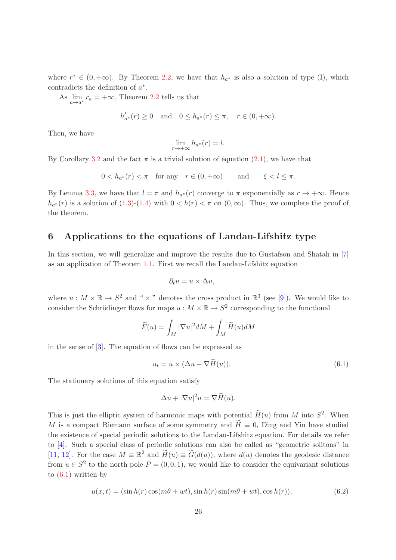where  $r^* \in (0, +\infty)$ . By Theorem 2.2, we have that  $h_{a^*}$  is also a solution of type (I), which contradicts the definition of  $a^*$ .

As  $\lim_{a \to a^*} r_a = +\infty$ , Theorem 2.2 tells us that

$$
h'_{a^*}(r) \ge 0
$$
 and  $0 \le h_{a^*}(r) \le \pi$ ,  $r \in (0, +\infty)$ .

Then, we have

$$
\lim_{r \to +\infty} h_{a^*}(r) = l.
$$

By Corollary 3.2 and the fact  $\pi$  is a trivial solution of equation (2.1), we have that

$$
0 < h_{a^*}(r) < \pi \quad \text{for any} \quad r \in (0, +\infty) \qquad \text{and} \qquad \xi < l \leq \pi.
$$

By Lemma 3.3, we have that  $l = \pi$  and  $h_{a^*}(r)$  converge to  $\pi$  exponentially as  $r \to +\infty$ . Hence  $h_{a^*}(r)$  is a solution of  $(1.3)-(1.4)$  with  $0 < h(r) < \pi$  on  $(0,\infty)$ . Thus, we complete the proof of the theorem.

#### 6 Applications to the equations of Landau-Lifshitz type

In this section, we will generalize and improve the results due to Gustafson and Shatah in [7] as an application of Theorem 1.1. First we recall the Landau-Lifshitz equation

$$
\partial_t u = u \times \Delta u,
$$

where  $u : M \times \mathbb{R} \to S^2$  and "  $\times$ " denotes the cross product in  $\mathbb{R}^3$  (see [9]). We would like to consider the Schrödinger flows for maps  $u : M \times \mathbb{R} \to S^2$  corresponding to the functional

$$
\widetilde{F}(u) = \int_M |\nabla u|^2 dM + \int_M \widetilde{H}(u) dM
$$

in the sense of [3]. The equation of flows can be expressed as

$$
u_t = u \times (\Delta u - \nabla H(u)).
$$
\n(6.1)

The stationary solutions of this equation satisfy

$$
\Delta u + |\nabla u|^2 u = \nabla \widetilde{H}(u).
$$

This is just the elliptic system of harmonic maps with potential  $\widetilde{H}(u)$  from M into  $S^2$ . When M is a compact Riemann surface of some symmetry and  $H \equiv 0$ , Ding and Yin have studied the existence of special periodic solutions to the Landau-Lifshitz equation. For details we refer to [4]. Such a special class of periodic solutions can also be called as "geometric solitons" in [11, 12]. For the case  $M \equiv \mathbb{R}^2$  and  $\widetilde{H}(u) \equiv \widetilde{G}(d(u))$ , where  $d(u)$  denotes the geodesic distance from  $u \in S^2$  to the north pole  $P = (0, 0, 1)$ , we would like to consider the equivariant solutions to  $(6.1)$  written by

$$
u(x,t) = (\sin h(r)\cos(m\theta + wt), \sin h(r)\sin(m\theta + wt), \cos h(r)),
$$
\n(6.2)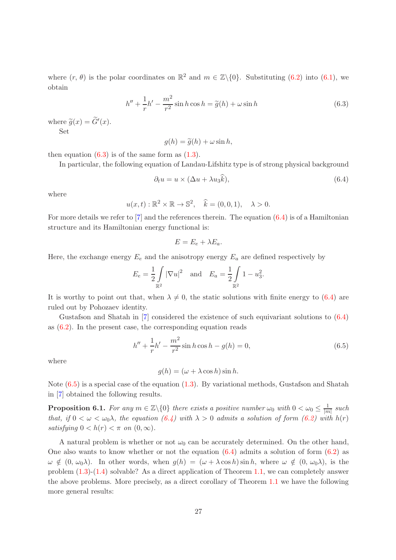where  $(r, \theta)$  is the polar coordinates on  $\mathbb{R}^2$  and  $m \in \mathbb{Z}\setminus\{0\}$ . Substituting  $(6.2)$  into  $(6.1)$ , we obtain

$$
h'' + \frac{1}{r}h' - \frac{m^2}{r^2}\sin h \cos h = \tilde{g}(h) + \omega \sin h
$$
 (6.3)

where  $\widetilde{g}(x) = \widetilde{G}'(x)$ . Set

$$
g(h) = \tilde{g}(h) + \omega \sin h,
$$

then equation  $(6.3)$  is of the same form as  $(1.3)$ .

In particular, the following equation of Landau-Lifshitz type is of strong physical background

$$
\partial_t u = u \times (\Delta u + \lambda u_3 k), \tag{6.4}
$$

.

where

$$
u(x,t): \mathbb{R}^2 \times \mathbb{R} \to \mathbb{S}^2, \quad \widehat{k} = (0,0,1), \quad \lambda > 0.
$$

For more details we refer to [7] and the references therein. The equation (6.4) is of a Hamiltonian structure and its Hamiltonian energy functional is:

$$
E=E_e+\lambda E_a.
$$

Here, the exchange energy  $E_e$  and the anisotropy energy  $E_a$  are defined respectively by

$$
E_e = \frac{1}{2} \int_{\mathbb{R}^2} |\nabla u|^2
$$
 and  $E_a = \frac{1}{2} \int_{\mathbb{R}^2} 1 - u_3^2$ 

It is worthy to point out that, when  $\lambda \neq 0$ , the static solutions with finite energy to (6.4) are ruled out by Pohozaev identity.

Gustafson and Shatah in [7] considered the existence of such equivariant solutions to (6.4) as (6.2). In the present case, the corresponding equation reads

$$
h'' + \frac{1}{r}h' - \frac{m^2}{r^2}\sin h \cos h - g(h) = 0,
$$
\n(6.5)

where

$$
g(h) = (\omega + \lambda \cos h) \sin h.
$$

Note (6.5) is a special case of the equation (1.3). By variational methods, Gustafson and Shatah in [7] obtained the following results.

**Proposition 6.1.** For any  $m \in \mathbb{Z}\backslash\{0\}$  there exists a positive number  $\omega_0$  with  $0 < \omega_0 \leq \frac{1}{m}$  $\frac{1}{|m|}$  such that, if  $0 < \omega < \omega_0 \lambda$ , the equation  $(6.4)$  with  $\lambda > 0$  admits a solution of form  $(6.2)$  with  $h(r)$ satisfying  $0 < h(r) < \pi$  on  $(0, \infty)$ .

A natural problem is whether or not  $\omega_0$  can be accurately determined. On the other hand, One also wants to know whether or not the equation  $(6.4)$  admits a solution of form  $(6.2)$  as  $\omega \notin (0, \omega_0\lambda)$ . In other words, when  $g(h) = (\omega + \lambda \cos h) \sin h$ , where  $\omega \notin (0, \omega_0\lambda)$ , is the problem (1.3)-(1.4) solvable? As a direct application of Theorem 1.1, we can completely answer the above problems. More precisely, as a direct corollary of Theorem 1.1 we have the following more general results: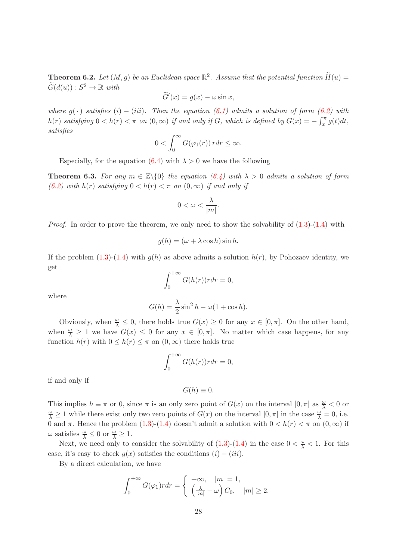**Theorem 6.2.** Let  $(M, g)$  be an Euclidean space  $\mathbb{R}^2$ . Assume that the potential function  $\widetilde{H}(u) =$  $\widetilde{G}(d(u)) : S^2 \to \mathbb{R}$  with

$$
\widetilde{G}'(x) = g(x) - \omega \sin x,
$$

where  $g(\cdot)$  satisfies  $(i) - (iii)$ . Then the equation  $(6.1)$  admits a solution of form  $(6.2)$  with  $h(r)$  satisfying  $0 < h(r) < \pi$  on  $(0, \infty)$  if and only if G, which is defined by  $G(x) = -\int_x^{\pi} g(t)dt$ , satisfies

$$
0 < \int_0^\infty G(\varphi_1(r)) \, r dr \leq \infty.
$$

Especially, for the equation  $(6.4)$  with  $\lambda > 0$  we have the following

**Theorem 6.3.** For any  $m \in \mathbb{Z}\backslash\{0\}$  the equation (6.4) with  $\lambda > 0$  admits a solution of form (6.2) with h(r) satisfying  $0 < h(r) < \pi$  on  $(0, \infty)$  if and only if

$$
0 < \omega < \frac{\lambda}{|m|}.
$$

*Proof.* In order to prove the theorem, we only need to show the solvability of  $(1.3)-(1.4)$  with

$$
g(h) = (\omega + \lambda \cos h) \sin h.
$$

If the problem (1.3)-(1.4) with  $q(h)$  as above admits a solution  $h(r)$ , by Pohozaev identity, we get

$$
\int_0^{+\infty} G(h(r))r dr = 0,
$$

where

$$
G(h) = \frac{\lambda}{2}\sin^2 h - \omega(1 + \cos h).
$$

Obviously, when  $\frac{\omega}{\lambda} \leq 0$ , there holds true  $G(x) \geq 0$  for any  $x \in [0, \pi]$ . On the other hand, when  $\frac{\omega}{\lambda} \geq 1$  we have  $G(x) \leq 0$  for any  $x \in [0, \pi]$ . No matter which case happens, for any function  $h(r)$  with  $0 \leq h(r) \leq \pi$  on  $(0, \infty)$  there holds true

$$
\int_0^{+\infty} G(h(r))r dr = 0,
$$

if and only if

$$
G(h) \equiv 0.
$$

This implies  $h \equiv \pi$  or 0, since  $\pi$  is an only zero point of  $G(x)$  on the interval  $[0, \pi]$  as  $\frac{\omega}{\lambda} < 0$  or  $\frac{\omega}{\lambda} \ge 1$  while there exist only two zero points of  $G(x)$  on the interval  $[0, \pi]$  in the case  $\frac{\omega}{\lambda} = 0$ , i.e. 0 and  $\pi$ . Hence the problem (1.3)-(1.4) doesn't admit a solution with  $0 < h(r) < \pi$  on  $(0, \infty)$  if  $\omega$  satisfies  $\frac{\omega}{\lambda} \leq 0$  or  $\frac{\omega}{\lambda} \geq 1$ .

Next, we need only to consider the solvability of  $(1.3)-(1.4)$  in the case  $0 < \frac{\omega}{\lambda} < 1$ . For this case, it's easy to check  $g(x)$  satisfies the conditions  $(i) - (iii)$ .

By a direct calculation, we have

$$
\int_0^{+\infty} G(\varphi_1) r dr = \begin{cases} +\infty, & |m| = 1, \\ \left(\frac{\lambda}{|m|} - \omega\right) C_0, & |m| \ge 2. \end{cases}
$$